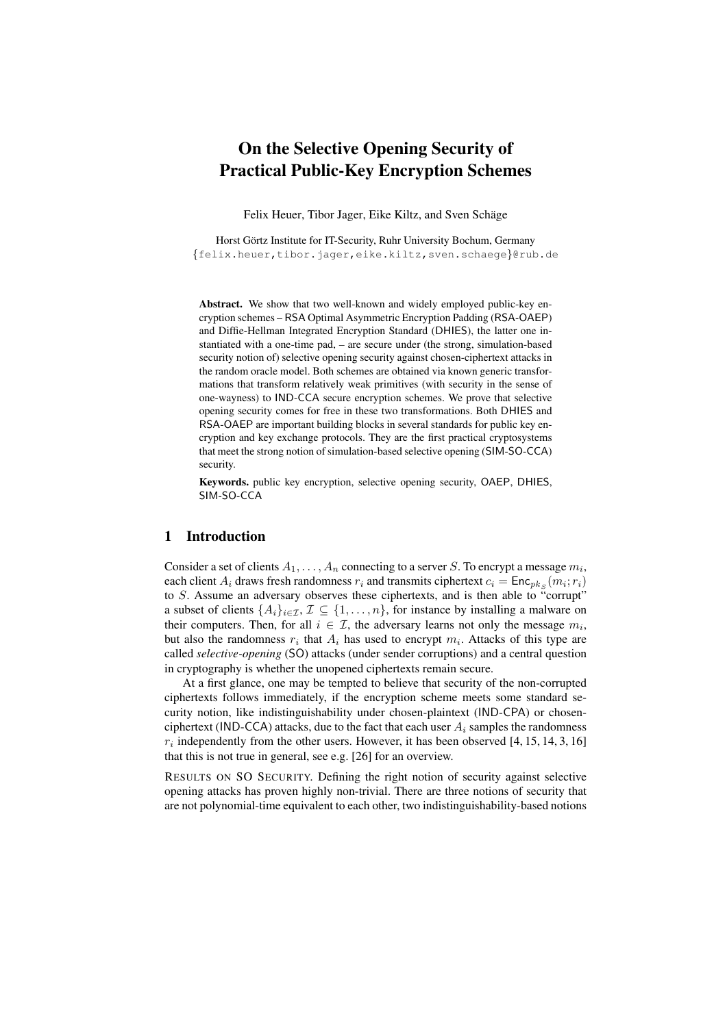# On the Selective Opening Security of Practical Public-Key Encryption Schemes

Felix Heuer, Tibor Jager, Eike Kiltz, and Sven Schäge

Horst Görtz Institute for IT-Security, Ruhr University Bochum, Germany {felix.heuer,tibor.jager,eike.kiltz,sven.schaege}@rub.de

Abstract. We show that two well-known and widely employed public-key encryption schemes – RSA Optimal Asymmetric Encryption Padding (RSA-OAEP) and Diffie-Hellman Integrated Encryption Standard (DHIES), the latter one instantiated with a one-time pad, – are secure under (the strong, simulation-based security notion of) selective opening security against chosen-ciphertext attacks in the random oracle model. Both schemes are obtained via known generic transformations that transform relatively weak primitives (with security in the sense of one-wayness) to IND-CCA secure encryption schemes. We prove that selective opening security comes for free in these two transformations. Both DHIES and RSA-OAEP are important building blocks in several standards for public key encryption and key exchange protocols. They are the first practical cryptosystems that meet the strong notion of simulation-based selective opening (SIM-SO-CCA) security.

Keywords. public key encryption, selective opening security, OAEP, DHIES, SIM-SO-CCA

# 1 Introduction

Consider a set of clients  $A_1, \ldots, A_n$  connecting to a server  $S.$  To encrypt a message  $m_i,$ each client  $A_i$  draws fresh randomness  $r_i$  and transmits ciphertext  $c_i = \mathsf{Enc}_{pk_S}(m_i; r_i)$ to S. Assume an adversary observes these ciphertexts, and is then able to "corrupt" a subset of clients  $\{A_i\}_{i\in\mathcal{I}}, \mathcal{I} \subseteq \{1,\ldots,n\}$ , for instance by installing a malware on their computers. Then, for all  $i \in \mathcal{I}$ , the adversary learns not only the message  $m_i$ , but also the randomness  $r_i$  that  $A_i$  has used to encrypt  $m_i$ . Attacks of this type are called *selective-opening* (SO) attacks (under sender corruptions) and a central question in cryptography is whether the unopened ciphertexts remain secure.

At a first glance, one may be tempted to believe that security of the non-corrupted ciphertexts follows immediately, if the encryption scheme meets some standard security notion, like indistinguishability under chosen-plaintext (IND-CPA) or chosenciphertext (IND-CCA) attacks, due to the fact that each user  $A_i$  samples the randomness  $r_i$  independently from the other users. However, it has been observed [4, 15, 14, 3, 16] that this is not true in general, see e.g. [26] for an overview.

RESULTS ON SO SECURITY. Defining the right notion of security against selective opening attacks has proven highly non-trivial. There are three notions of security that are not polynomial-time equivalent to each other, two indistinguishability-based notions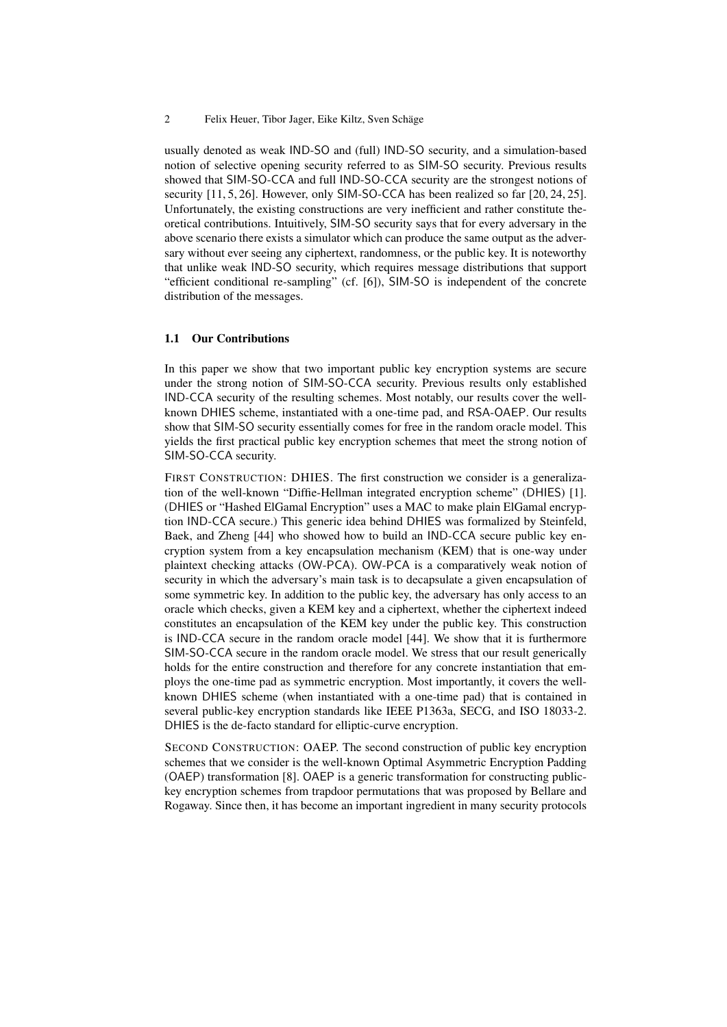usually denoted as weak IND-SO and (full) IND-SO security, and a simulation-based notion of selective opening security referred to as SIM-SO security. Previous results showed that SIM-SO-CCA and full IND-SO-CCA security are the strongest notions of security [11, 5, 26]. However, only SIM-SO-CCA has been realized so far [20, 24, 25]. Unfortunately, the existing constructions are very inefficient and rather constitute theoretical contributions. Intuitively, SIM-SO security says that for every adversary in the above scenario there exists a simulator which can produce the same output as the adversary without ever seeing any ciphertext, randomness, or the public key. It is noteworthy that unlike weak IND-SO security, which requires message distributions that support "efficient conditional re-sampling" (cf. [6]), SIM-SO is independent of the concrete distribution of the messages.

## 1.1 Our Contributions

In this paper we show that two important public key encryption systems are secure under the strong notion of SIM-SO-CCA security. Previous results only established IND-CCA security of the resulting schemes. Most notably, our results cover the wellknown DHIES scheme, instantiated with a one-time pad, and RSA-OAEP. Our results show that SIM-SO security essentially comes for free in the random oracle model. This yields the first practical public key encryption schemes that meet the strong notion of SIM-SO-CCA security.

FIRST CONSTRUCTION: DHIES. The first construction we consider is a generalization of the well-known "Diffie-Hellman integrated encryption scheme" (DHIES) [1]. (DHIES or "Hashed ElGamal Encryption" uses a MAC to make plain ElGamal encryption IND-CCA secure.) This generic idea behind DHIES was formalized by Steinfeld, Baek, and Zheng [44] who showed how to build an IND-CCA secure public key encryption system from a key encapsulation mechanism (KEM) that is one-way under plaintext checking attacks (OW-PCA). OW-PCA is a comparatively weak notion of security in which the adversary's main task is to decapsulate a given encapsulation of some symmetric key. In addition to the public key, the adversary has only access to an oracle which checks, given a KEM key and a ciphertext, whether the ciphertext indeed constitutes an encapsulation of the KEM key under the public key. This construction is IND-CCA secure in the random oracle model [44]. We show that it is furthermore SIM-SO-CCA secure in the random oracle model. We stress that our result generically holds for the entire construction and therefore for any concrete instantiation that employs the one-time pad as symmetric encryption. Most importantly, it covers the wellknown DHIES scheme (when instantiated with a one-time pad) that is contained in several public-key encryption standards like IEEE P1363a, SECG, and ISO 18033-2. DHIES is the de-facto standard for elliptic-curve encryption.

SECOND CONSTRUCTION: OAEP. The second construction of public key encryption schemes that we consider is the well-known Optimal Asymmetric Encryption Padding (OAEP) transformation [8]. OAEP is a generic transformation for constructing publickey encryption schemes from trapdoor permutations that was proposed by Bellare and Rogaway. Since then, it has become an important ingredient in many security protocols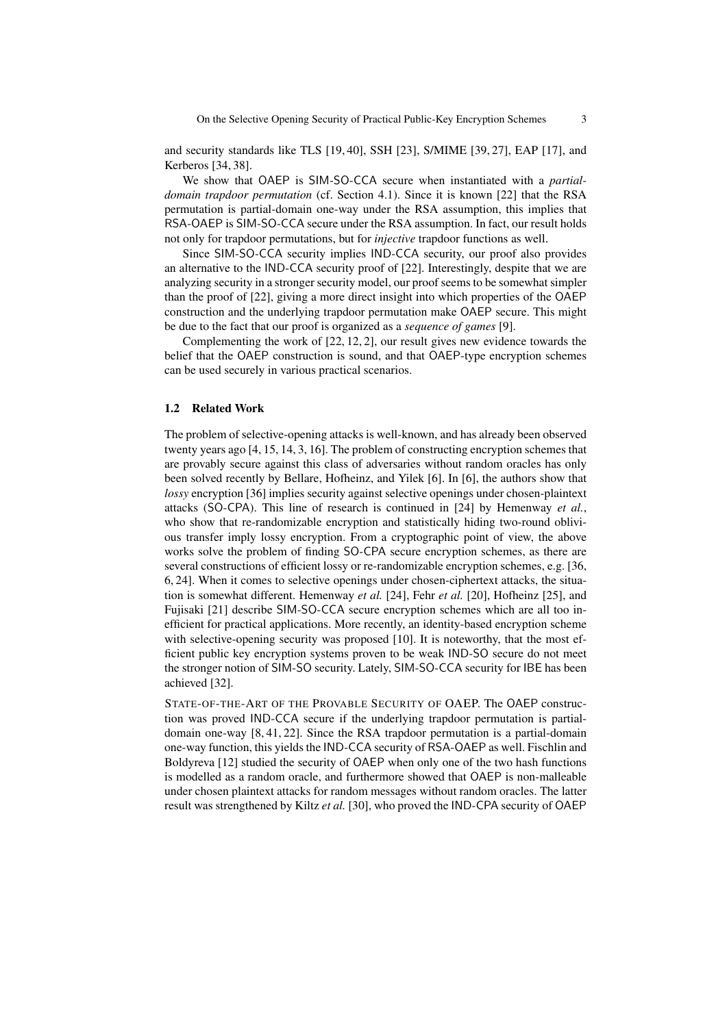and security standards like TLS [19, 40], SSH [23], S/MIME [39, 27], EAP [17], and Kerberos [34, 38].

We show that OAEP is SIM-SO-CCA secure when instantiated with a *partialdomain trapdoor permutation* (cf. Section 4.1). Since it is known [22] that the RSA permutation is partial-domain one-way under the RSA assumption, this implies that RSA-OAEP is SIM-SO-CCA secure under the RSA assumption. In fact, our result holds not only for trapdoor permutations, but for *injective* trapdoor functions as well.

Since SIM-SO-CCA security implies IND-CCA security, our proof also provides an alternative to the IND-CCA security proof of [22]. Interestingly, despite that we are analyzing security in a stronger security model, our proof seems to be somewhat simpler than the proof of [22], giving a more direct insight into which properties of the OAEP construction and the underlying trapdoor permutation make OAEP secure. This might be due to the fact that our proof is organized as a *sequence of games* [9].

Complementing the work of [22, 12, 2], our result gives new evidence towards the belief that the OAEP construction is sound, and that OAEP-type encryption schemes can be used securely in various practical scenarios.

# 1.2 Related Work

The problem of selective-opening attacks is well-known, and has already been observed twenty years ago [4, 15, 14, 3, 16]. The problem of constructing encryption schemes that are provably secure against this class of adversaries without random oracles has only been solved recently by Bellare, Hofheinz, and Yilek [6]. In [6], the authors show that *lossy* encryption [36] implies security against selective openings under chosen-plaintext attacks (SO-CPA). This line of research is continued in [24] by Hemenway *et al.*, who show that re-randomizable encryption and statistically hiding two-round oblivious transfer imply lossy encryption. From a cryptographic point of view, the above works solve the problem of finding SO-CPA secure encryption schemes, as there are several constructions of efficient lossy or re-randomizable encryption schemes, e.g. [36, 6, 24]. When it comes to selective openings under chosen-ciphertext attacks, the situation is somewhat different. Hemenway *et al.* [24], Fehr *et al.* [20], Hofheinz [25], and Fujisaki [21] describe SIM-SO-CCA secure encryption schemes which are all too inefficient for practical applications. More recently, an identity-based encryption scheme with selective-opening security was proposed [10]. It is noteworthy, that the most efficient public key encryption systems proven to be weak IND-SO secure do not meet the stronger notion of SIM-SO security. Lately, SIM-SO-CCA security for IBE has been achieved [32].

STATE-OF-THE-ART OF THE PROVABLE SECURITY OF OAEP. The OAEP construction was proved IND-CCA secure if the underlying trapdoor permutation is partialdomain one-way [8, 41, 22]. Since the RSA trapdoor permutation is a partial-domain one-way function, this yields the IND-CCA security of RSA-OAEP as well. Fischlin and Boldyreva [12] studied the security of OAEP when only one of the two hash functions is modelled as a random oracle, and furthermore showed that OAEP is non-malleable under chosen plaintext attacks for random messages without random oracles. The latter result was strengthened by Kiltz *et al.* [30], who proved the IND-CPA security of OAEP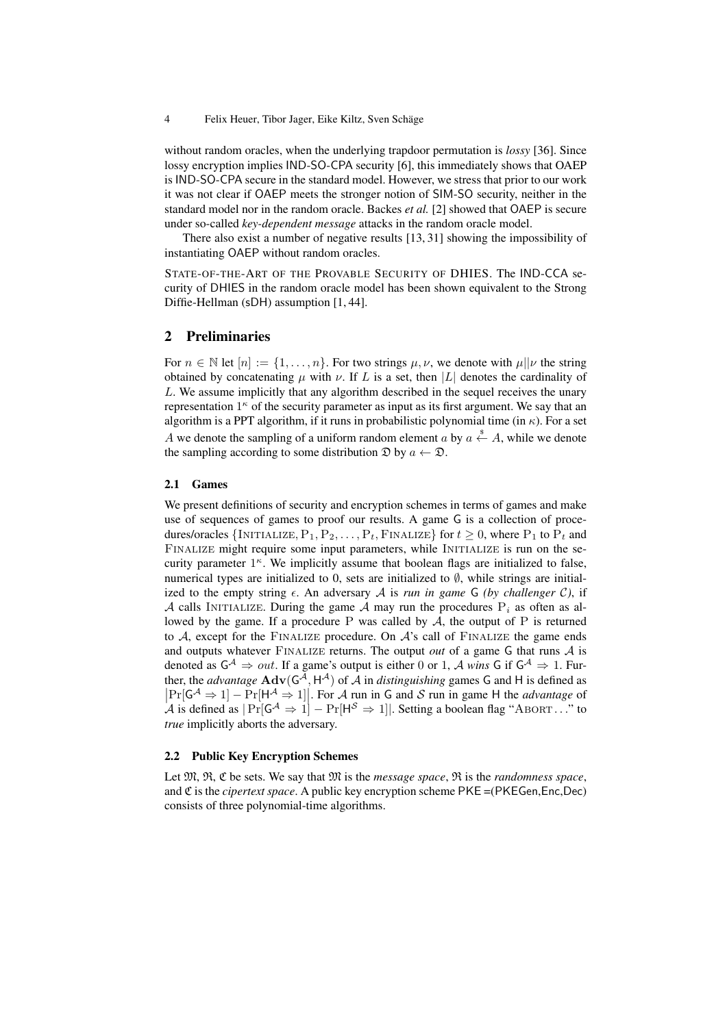without random oracles, when the underlying trapdoor permutation is *lossy* [36]. Since lossy encryption implies IND-SO-CPA security [6], this immediately shows that OAEP is IND-SO-CPA secure in the standard model. However, we stress that prior to our work it was not clear if OAEP meets the stronger notion of SIM-SO security, neither in the standard model nor in the random oracle. Backes *et al.* [2] showed that OAEP is secure under so-called *key-dependent message* attacks in the random oracle model.

There also exist a number of negative results [13, 31] showing the impossibility of instantiating OAEP without random oracles.

STATE-OF-THE-ART OF THE PROVABLE SECURITY OF DHIES. The IND-CCA security of DHIES in the random oracle model has been shown equivalent to the Strong Diffie-Hellman (sDH) assumption [1, 44].

# 2 Preliminaries

For  $n \in \mathbb{N}$  let  $[n] := \{1, \ldots, n\}$ . For two strings  $\mu, \nu$ , we denote with  $\mu||\nu$  the string obtained by concatenating  $\mu$  with  $\nu$ . If L is a set, then |L| denotes the cardinality of L. We assume implicitly that any algorithm described in the sequel receives the unary representation  $1<sup>\kappa</sup>$  of the security parameter as input as its first argument. We say that an algorithm is a PPT algorithm, if it runs in probabilistic polynomial time (in  $\kappa$ ). For a set A we denote the sampling of a uniform random element a by  $a \stackrel{\$}{\leftarrow} A$ , while we denote the sampling according to some distribution  $\mathfrak{D}$  by  $a \leftarrow \mathfrak{D}$ .

#### 2.1 Games

We present definitions of security and encryption schemes in terms of games and make use of sequences of games to proof our results. A game G is a collection of procedures/oracles {INITIALIZE,  $P_1, P_2, \ldots, P_t$ , FINALIZE} for  $t \geq 0$ , where  $P_1$  to  $P_t$  and FINALIZE might require some input parameters, while INITIALIZE is run on the security parameter  $1<sup>\kappa</sup>$ . We implicitly assume that boolean flags are initialized to false, numerical types are initialized to 0, sets are initialized to  $\emptyset$ , while strings are initialized to the empty string  $\epsilon$ . An adversary A is *run in game* G *(by challenger C)*, if A calls INITIALIZE. During the game A may run the procedures  $P_i$  as often as allowed by the game. If a procedure P was called by  $A$ , the output of P is returned to  $A$ , except for the FINALIZE procedure. On  $A$ 's call of FINALIZE the game ends and outputs whatever  $ext{FINALIZE}$  returns. The output *out* of a game G that runs  $\mathcal A$  is denoted as  $G^{\mathcal{A}} \Rightarrow out$ . If a game's output is either 0 or 1, A *wins* G if  $G^{\mathcal{A}} \Rightarrow 1$ . Further, the *advantage*  $\text{Adv}(G^{\mathcal{A}}, H^{\mathcal{A}})$  of  $\mathcal{A}$  in *distinguishing* games G and H is defined as  $\Pr[\mathsf{G}^{\mathcal{A}} \Rightarrow 1] - \Pr[\mathsf{H}^{\mathcal{A}} \Rightarrow 1]$ . For A run in G and S run in game H the *advantage* of A is defined as  $|Pr[G^{\mathcal{A}} \Rightarrow 1] - Pr[H^{\mathcal{S}} \Rightarrow 1]|$ . Setting a boolean flag "ABORT..." to *true* implicitly aborts the adversary.

## 2.2 Public Key Encryption Schemes

Let M, R, C be sets. We say that M is the *message space*, R is the *randomness space*, and C is the *cipertext space*. A public key encryption scheme PKE =(PKEGen,Enc,Dec) consists of three polynomial-time algorithms.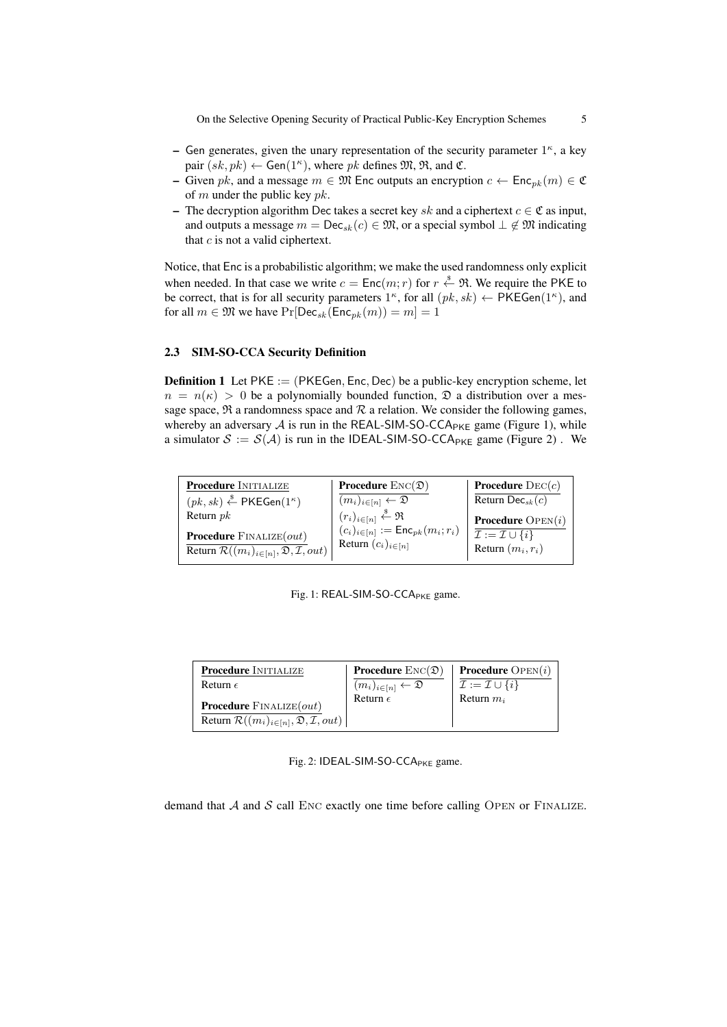On the Selective Opening Security of Practical Public-Key Encryption Schemes 5

- Gen generates, given the unary representation of the security parameter  $1<sup>\kappa</sup>$ , a key pair  $(sk, pk) \leftarrow$  Gen $(1^{\kappa})$ , where pk defines  $\mathfrak{M}, \mathfrak{R}$ , and  $\mathfrak{C}$ .
- Given pk, and a message  $m \in \mathfrak{M}$  Enc outputs an encryption  $c \leftarrow \mathsf{Enc}_{nk}(m) \in \mathfrak{C}$ of m under the public key  $pk$ .
- The decryption algorithm Dec takes a secret key sk and a ciphertext  $c \in \mathfrak{C}$  as input, and outputs a message  $m = \text{Dec}_{sk}(c) \in \mathfrak{M}$ , or a special symbol  $\perp \notin \mathfrak{M}$  indicating that  $c$  is not a valid ciphertext.

Notice, that Enc is a probabilistic algorithm; we make the used randomness only explicit when needed. In that case we write  $c = \text{Enc}(m; r)$  for  $r \overset{\$}{\leftarrow} \mathfrak{R}$ . We require the PKE to be correct, that is for all security parameters  $1^{\kappa}$ , for all  $(pk, sk) \leftarrow \text{PKEGen}(1^{\kappa})$ , and for all  $m \in \mathfrak{M}$  we have  $Pr[Dec_{sk}(Enc_{pk}(m)) = m] = 1$ 

# 2.3 SIM-SO-CCA Security Definition

**Definition 1** Let  $PKE := (PKEGen, Enc, Dec)$  be a public-key encryption scheme, let  $n = n(\kappa) > 0$  be a polynomially bounded function,  $\mathfrak D$  a distribution over a message space,  $\Re$  a randomness space and  $\Re$  a relation. We consider the following games, whereby an adversary  $A$  is run in the REAL-SIM-SO-CCA<sub>PKE</sub> game (Figure 1), while a simulator  $S := S(A)$  is run in the IDEAL-SIM-SO-CCA<sub>PKE</sub> game (Figure 2). We

| <b>Procedure INITIALIZE</b>                                                                                        | <b>Procedure</b> $\text{Enc}(\mathfrak{D})$                                                                         | <b>Procedure</b> $\text{Dec}(c)$                                          |
|--------------------------------------------------------------------------------------------------------------------|---------------------------------------------------------------------------------------------------------------------|---------------------------------------------------------------------------|
| $(pk, sk) \stackrel{\$}{\leftarrow}$ PKEGen $(1^{\kappa})$                                                         | $(m_i)_{i \in [n]} \leftarrow \mathfrak{D}$                                                                         | Return Dec <sub>sk</sub> $(c)$                                            |
| Return $pk$                                                                                                        | $\frac{\binom{n}{r_i}_{i \in [n]} \stackrel{\$}{\leftarrow} \Re}{(c_i)_{i \in [n]} := \mathsf{Enc}_{pk}(m_i; r_i)}$ | <b>Procedure</b> $OPEN(i)$                                                |
| <b>Procedure</b> $\text{FINALIZE}(out)$<br>Return $\mathcal{R}((m_i)_{i \in [n]}, \mathfrak{D}, \mathcal{I}, out)$ | Return $(c_i)_{i \in [n]}$                                                                                          | $\overline{\mathcal{I}} := \mathcal{I} \cup \{i\}$<br>Return $(m_i, r_i)$ |

Fig. 1: REAL-SIM-SO-CCA<sub>PKE</sub> game.

| <b>Procedure INITIALIZE</b>                                                                                        | <b>Procedure</b> $\text{Enc}(\mathfrak{D})$ | <b>Procedure</b> $OPEN(i)$              |
|--------------------------------------------------------------------------------------------------------------------|---------------------------------------------|-----------------------------------------|
| Return $\epsilon$                                                                                                  | $(m_i)_{i\in[n]} \leftarrow \mathfrak{D}$   | $\mathcal{I} := \mathcal{I} \cup \{i\}$ |
| <b>Procedure</b> $\text{FINALIZE}(out)$<br>Return $\mathcal{R}((m_i)_{i \in [n]}, \mathfrak{D}, \mathcal{I}, out)$ | Return $\epsilon$                           | Return $m_i$                            |

Fig. 2: IDEAL-SIM-SO-CCA<sub>PKE</sub> game.

demand that  $A$  and  $S$  call ENC exactly one time before calling OPEN or FINALIZE.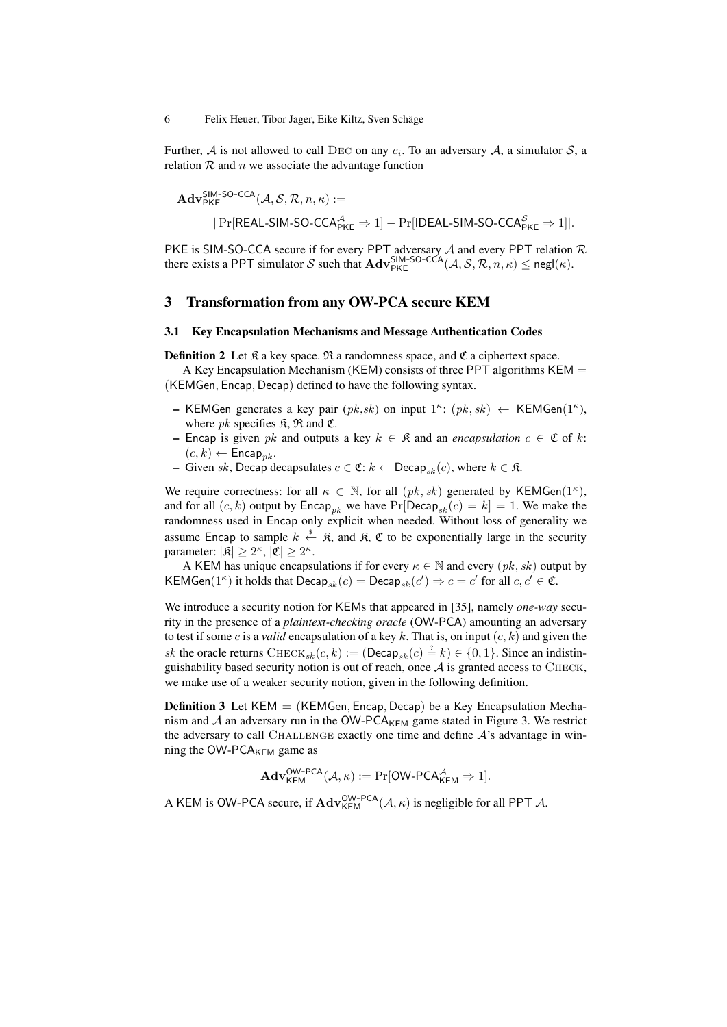Further, A is not allowed to call DEC on any  $c_i$ . To an adversary A, a simulator S, a relation  $R$  and  $n$  we associate the advantage function

$$
\begin{aligned}\n\mathbf{Adv}_{\mathsf{PKE}}^{\mathsf{SIM-SO-CCA}}(\mathcal{A}, \mathcal{S}, \mathcal{R}, n, \kappa) := \\
&| \Pr[\mathsf{REAL-SIM-SO-CCA}_{\mathsf{PKE}}^{\mathcal{A}} \Rightarrow 1] - \Pr[\mathsf{IDEAL-SIM-SO-CCA}_{\mathsf{PKE}}^{\mathcal{S}} \Rightarrow 1]|.\n\end{aligned}
$$

PKE is SIM-SO-CCA secure if for every PPT adversary  $A$  and every PPT relation  $R$ there exists a PPT simulator S such that  $\mathbf{Adv}_{\mathsf{PKE}}^{\mathsf{SIM-SO-CCA}}(\mathcal{A}, \mathcal{S}, \mathcal{R}, n, \kappa) \le \mathsf{negl}(\kappa)$ .

# 3 Transformation from any OW-PCA secure KEM

#### 3.1 Key Encapsulation Mechanisms and Message Authentication Codes

**Definition 2** Let  $\hat{\mathcal{R}}$  a key space.  $\hat{\mathcal{R}}$  a randomness space, and  $\hat{\mathcal{C}}$  a ciphertext space.

A Key Encapsulation Mechanism (KEM) consists of three PPT algorithms KEM  $=$ (KEMGen, Encap, Decap) defined to have the following syntax.

- KEMGen generates a key pair  $(pk, sk)$  on input  $1^k$ :  $(pk, sk) \leftarrow$  KEMGen $(1^k)$ , where  $pk$  specifies  $R$ ,  $\mathfrak{R}$  and  $\mathfrak{C}$ .
- Encap is given *pk* and outputs a key  $k \in \mathbb{R}$  and an *encapsulation*  $c \in \mathfrak{C}$  of  $k$ :  $(c, k) \leftarrow$  Encap<sub>nk</sub>.
- Given sk, Decap decapsulates  $c \in \mathfrak{C}: k \leftarrow \mathsf{Decap}_{sk}(c)$ , where  $k \in \mathfrak{K}$ .

We require correctness: for all  $\kappa \in \mathbb{N}$ , for all  $(pk, sk)$  generated by KEMGen $(1^{\kappa})$ , and for all  $(c, k)$  output by Encap<sub>nk</sub> we have Pr[Decap<sub>sk</sub> $(c) = k$ ] = 1. We make the randomness used in Encap only explicit when needed. Without loss of generality we assume Encap to sample  $k \stackrel{\$}{\leftarrow} \mathfrak{K}$ , and  $\mathfrak{K}$ ,  $\mathfrak{C}$  to be exponentially large in the security parameter:  $|\mathfrak{K}| \geq 2^{\kappa}, |\mathfrak{C}| \geq 2^{\kappa}.$ 

A KEM has unique encapsulations if for every  $\kappa \in \mathbb{N}$  and every  $(pk, sk)$  output by KEMGen(1<sup> $\kappa$ </sup>) it holds that Decap<sub>sk</sub> $(c)$  = Decap<sub>sk</sub> $(c') \Rightarrow c = c'$  for all  $c, c' \in \mathfrak{C}$ .

We introduce a security notion for KEMs that appeared in [35], namely *one-way* security in the presence of a *plaintext-checking oracle* (OW-PCA) amounting an adversary to test if some c is a *valid* encapsulation of a key k. That is, on input  $(c, k)$  and given the sk the oracle returns CHECK<sub>sk</sub> $(c, k) := (\text{Decap}_{sk}(c) \stackrel{?}{=} k) \in \{0, 1\}$ . Since an indistinguishability based security notion is out of reach, once  $A$  is granted access to CHECK. we make use of a weaker security notion, given in the following definition.

**Definition 3** Let  $KEM = (KEMGen, Encap, Decap)$  be a Key Encapsulation Mechanism and  $\mathcal A$  an adversary run in the OW-PCA<sub>KEM</sub> game stated in Figure 3. We restrict the adversary to call CHALLENGE exactly one time and define  $A$ 's advantage in winning the OW-PC $A_{KEM}$  game as

$$
\mathbf{Adv}_{\mathsf{KEM}}^{\mathsf{OW-PCA}}(\mathcal{A}, \kappa) := \Pr[\mathsf{OW-PCA}_{\mathsf{KEM}}^{\mathcal{A}} \Rightarrow 1].
$$

A KEM is OW-PCA secure, if  $\mathbf{Adv}_{\mathsf{KEM}}^{\mathsf{OW-PCA}}(\mathcal{A}, \kappa)$  is negligible for all PPT  $\mathcal{A}$ .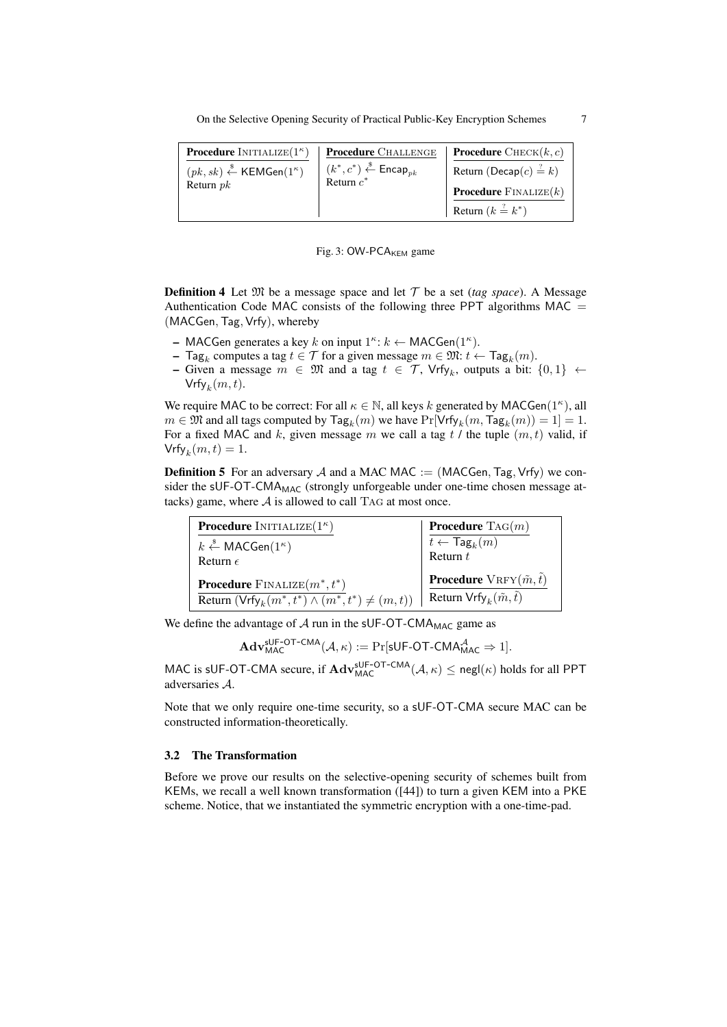On the Selective Opening Security of Practical Public-Key Encryption Schemes 7

| <b>Procedure</b> INITIALIZE $(1^{\kappa})$                 | <b>Procedure</b> CHALLENGE                                                                         | <b>Procedure</b> $\text{CHECK}(k, c)$   |
|------------------------------------------------------------|----------------------------------------------------------------------------------------------------|-----------------------------------------|
| $(pk, sk) \stackrel{\$}{\leftarrow}$ KEMGen $(1^{\kappa})$ | $(k^*, c^*) \overset{\hspace{0.1em}\mathsf{\scriptscriptstyle\$}}{\leftarrow} \mathsf{Encap}_{nk}$ | Return (Decap $(c) \stackrel{?}{=} k$ ) |
| Return $pk$                                                | Return $c^*$                                                                                       | <b>Procedure</b> $\text{FINALIZE}(k)$   |
|                                                            |                                                                                                    | Return $(k \stackrel{?}{=} k^*)$        |

#### Fig. 3:  $OW-PCA_{KEM}$  game

**Definition 4** Let  $\mathfrak{M}$  be a message space and let  $\mathcal{T}$  be a set (*tag space*). A Message Authentication Code MAC consists of the following three PPT algorithms MAC  $=$ (MACGen,Tag, Vrfy), whereby

- MACGen generates a key k on input  $1^{\kappa}: k \leftarrow \text{MACGen}(1^{\kappa})$ .
- Tag<sub>k</sub> computes a tag  $t \in T$  for a given message  $m \in \mathfrak{M}$ :  $t \leftarrow \textsf{Tag}_k(m)$ .
- Given a message  $m \in \mathfrak{M}$  and a tag  $t \in \mathcal{T}$ , Vrfy<sub>k</sub>, outputs a bit: {0, 1} ←  $\mathsf{Vrfy}_k(m,t).$

We require MAC to be correct: For all  $\kappa \in \mathbb{N}$ , all keys k generated by MACGen(1<sup> $\kappa$ </sup>), all  $m \in \mathfrak{M}$  and all tags computed by  $\mathsf{Tag}_k(m)$  we have  $\Pr[\mathsf{Vrfy}_k(m,\mathsf{Tag}_k(m)) = 1] = 1$ . For a fixed MAC and k, given message m we call a tag  $t /$  the tuple  $(m, t)$  valid, if  $\mathsf{Vrfy}_k(m,t) = 1.$ 

**Definition 5** For an adversary  $A$  and a MAC MAC := (MACGen, Tag, Vrfy) we consider the sUF-OT-CMA<sub>MAC</sub> (strongly unforgeable under one-time chosen message attacks) game, where  $A$  is allowed to call TAG at most once.

| <b>Procedure</b> INITIALIZE $(1^{\kappa})$                                                                            | <b>Procedure</b> $\text{Tag}(m)$                                                      |
|-----------------------------------------------------------------------------------------------------------------------|---------------------------------------------------------------------------------------|
| $k \stackrel{\hspace{0.1em}\mathsf{\scriptscriptstyle\$}}{\leftarrow} \mathsf{MACGen}(1^\kappa)$<br>Return $\epsilon$ | $\overline{t \leftarrow \mathsf{Tag}_k(m)}$ Return $t$                                |
| <b>Procedure</b> FINALIZE $(m^*, t^*)$<br>Return $(\text{Vrfy}_k(m^*, t^*) \wedge (m^*, t^*) \neq (m, t))$            | <b>Procedure</b> $VRFY(\tilde{m},\tilde{t})$<br>Return $Vrfy_k(\tilde{m}, \tilde{t})$ |

We define the advantage of  $A$  run in the sUF-OT-CMA<sub>MAC</sub> game as

 $\mathbf{Adv}_{\mathsf{MAC}}^{\mathsf{sUF}\text{-}\mathsf{OT-CMA}}(\mathcal{A},\kappa) := \Pr[\mathsf{sUF}\text{-}\mathsf{OT\text{-}CMA}_{\mathsf{MAC}}^{\mathcal{A}} \Rightarrow 1].$ 

MAC is sUF-OT-CMA secure, if  $\mathbf{Adv}_{MAC}^{sUF-OT-CMA}(\mathcal{A}, \kappa) \leq \mathsf{negl}(\kappa)$  holds for all PPT adversaries A.

Note that we only require one-time security, so a sUF-OT-CMA secure MAC can be constructed information-theoretically.

# 3.2 The Transformation

Before we prove our results on the selective-opening security of schemes built from KEMs, we recall a well known transformation ([44]) to turn a given KEM into a PKE scheme. Notice, that we instantiated the symmetric encryption with a one-time-pad.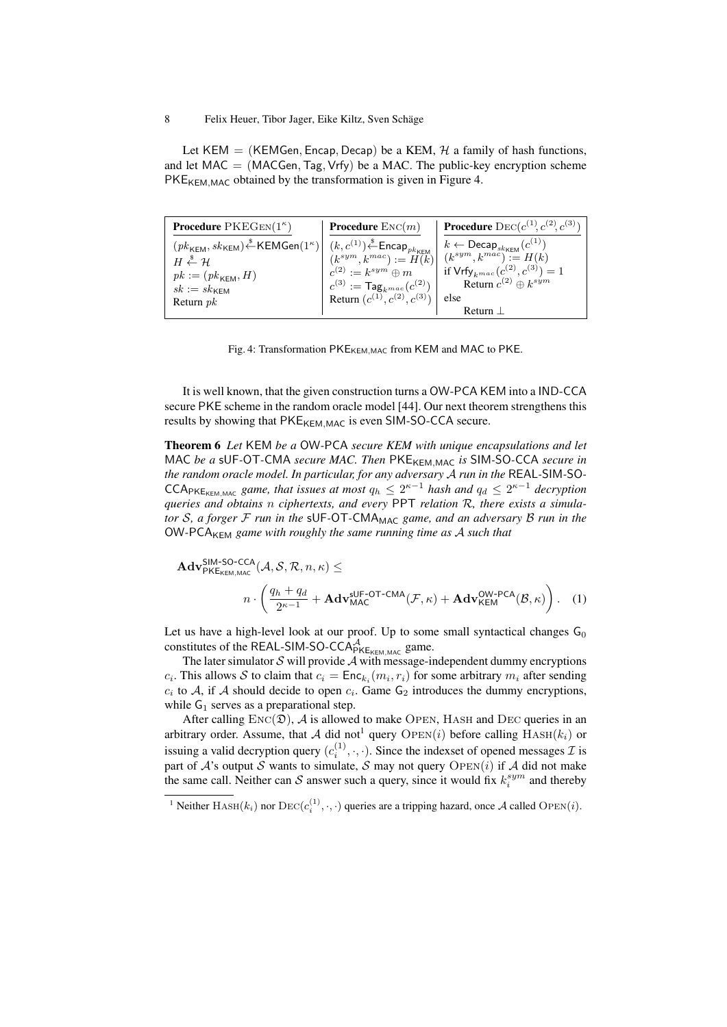Let KEM = (KEMGen, Encap, Decap) be a KEM,  $H$  a family of hash functions, and let  $MAC = (MACGen, Tag, Vrfy)$  be a MAC. The public-key encryption scheme PKE<sub>KEM,MAC</sub> obtained by the transformation is given in Figure 4.

| <b>Procedure</b> $PKEGEN(1^{\kappa})$                                                                                                                                                                                                                                                                                                        | <b>Procedure</b> $\text{Enc}(m)$                                              | <b>Procedure</b> DEC( $c^{(1)}, c^{(2)}, c^{(3)}$ ) |
|----------------------------------------------------------------------------------------------------------------------------------------------------------------------------------------------------------------------------------------------------------------------------------------------------------------------------------------------|-------------------------------------------------------------------------------|-----------------------------------------------------|
| $\left.\begin{array}{c c c} (pk_{\mathsf{KEM}},sk_{\mathsf{KEM}}) & \stackrel{\$}{{\leftarrow}}{\mathsf{KEMGen}}(1^\kappa) & (k,c^{(1)}) \stackrel{\$}{{\leftarrow}}{\mathsf{Encap}}_{pk_{\mathsf{KEM}}} & k \leftarrow \mathsf{Decap}_{sk_{\mathsf{KEM}}}(c^{(1)}) \\ (k^{sym},k^{mac}):=H(k) & (k^{sym},k^{mac}):=H(k) \end{array}\right.$ |                                                                               |                                                     |
|                                                                                                                                                                                                                                                                                                                                              |                                                                               | if $Vrfy_{k^{mac}}(c^{(2)}, c^{(3)}) = 1$           |
| $pk := (pk_{\mathsf{KEM}}, H)$                                                                                                                                                                                                                                                                                                               | $c^{(2)} := k^{sym} \oplus m$<br>$c^{(3)} := \textsf{Tag}_{k^{mac}}(c^{(2)})$ | Return $c^{(2)} \oplus k^{sym}$                     |
| $sk := sk$ <sub>KFM</sub><br>Return $pk$                                                                                                                                                                                                                                                                                                     | Return $(c^{(1)}, c^{(2)}, c^{(3)})$ else                                     |                                                     |
|                                                                                                                                                                                                                                                                                                                                              |                                                                               | Return                                              |

|  |  |  |  | Fig. 4: Transformation PKE <sub>KEM, MAC</sub> from KEM and MAC to PKE. |  |
|--|--|--|--|-------------------------------------------------------------------------|--|
|--|--|--|--|-------------------------------------------------------------------------|--|

It is well known, that the given construction turns a OW-PCA KEM into a IND-CCA secure PKE scheme in the random oracle model [44]. Our next theorem strengthens this results by showing that  $PKE_{KFM,MAC}$  is even SIM-SO-CCA secure.

Theorem 6 *Let* KEM *be a* OW*-*PCA *secure KEM with unique encapsulations and let* MAC be a sUF-OT-CMA secure MAC. Then PKE<sub>KEM,MAC</sub> is SIM-SO-CCA secure in *the random oracle model. In particular, for any adversary* A *run in the* REAL*-*SIM*-*SO*-* $\mathsf{CCA}_{\mathsf{PKE}_{\mathsf{KEMMAC}}}$  *game, that issues at most*  $q_h \leq 2^{\kappa-1}$  *hash and*  $q_d \leq 2^{\kappa-1}$  *decryption queries and obtains* n *ciphertexts, and every* PPT *relation* R*, there exists a simulator* S*, a forger* F *run in the* sUF*-*OT*-*CMAMAC *game, and an adversary* B *run in the* OW*-*PCAKEM *game with roughly the same running time as* A *such that*

$$
\mathbf{Adv}_{\mathsf{PKE}_{\mathsf{KE}_{\mathsf{ML}},\mathsf{MAC}}^{\mathsf{SIM-SO-CCA}}(\mathcal{A}, \mathcal{S}, \mathcal{R}, n, \kappa) \le
$$
\n
$$
n \cdot \left(\frac{q_h + q_d}{2^{\kappa - 1}} + \mathbf{Adv}_{\mathsf{MAC}}^{\mathsf{sUF-OT-CMA}}(\mathcal{F}, \kappa) + \mathbf{Adv}_{\mathsf{KEM}}^{\mathsf{OW-PCA}}(\mathcal{B}, \kappa)\right). \quad (1)
$$

Let us have a high-level look at our proof. Up to some small syntactical changes  $G_0$ constitutes of the REAL-SIM-SO-CCA $A_{PKE_{KEM,MAC}}^A$  game.

The later simulator  $S$  will provide  $A$  with message-independent dummy encryptions  $c_i$ . This allows S to claim that  $c_i = \text{Enc}_{k_i}(m_i, r_i)$  for some arbitrary  $m_i$  after sending  $c_i$  to A, if A should decide to open  $c_i$ . Game  $G_2$  introduces the dummy encryptions, while  $G_1$  serves as a preparational step.

After calling  $Enc(\mathfrak{D})$ , A is allowed to make OPEN, HASH and DEC queries in an arbitrary order. Assume, that A did not<sup>1</sup> query OPEN(i) before calling  $HASH(k_i)$  or issuing a valid decryption query  $(c_i^{(1)}, \cdot, \cdot)$ . Since the indexset of opened messages  $\mathcal I$  is part of  $A$ 's output  $S$  wants to simulate,  $S$  may not query  $\text{OPEN}(i)$  if  $A$  did not make the same call. Neither can S answer such a query, since it would fix  $k_i^{sym}$  and thereby

<sup>&</sup>lt;sup>1</sup> Neither HASH( $k_i$ ) nor  $\text{DEC}(c_i^{(1)}, \cdot, \cdot)$  queries are a tripping hazard, once A called OPEN(*i*).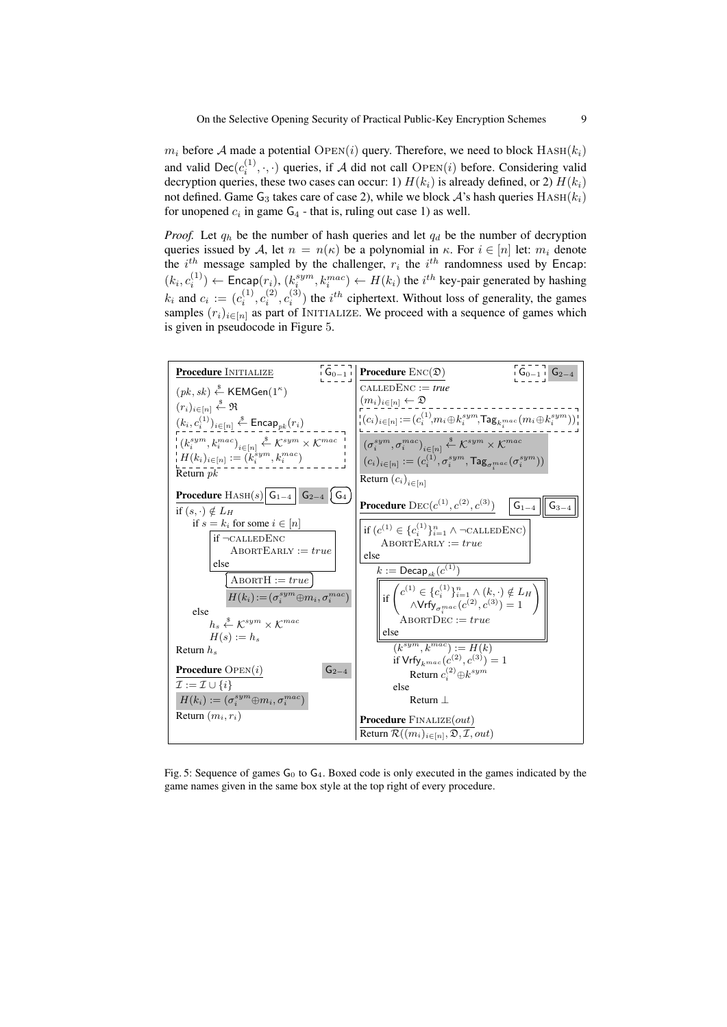$m_i$  before A made a potential OPEN(i) query. Therefore, we need to block  $HASH(k_i)$ and valid  $\text{Dec}(c_i^{(1)}, \cdot, \cdot)$  queries, if A did not call  $\text{OPEN}(i)$  before. Considering valid decryption queries, these two cases can occur: 1)  $H(k_i)$  is already defined, or 2)  $H(k_i)$ not defined. Game  $G_3$  takes care of case 2), while we block  $A$ 's hash queries  $HASH(k_i)$ for unopened  $c_i$  in game  $G_4$  - that is, ruling out case 1) as well.

*Proof.* Let  $q_h$  be the number of hash queries and let  $q_d$  be the number of decryption queries issued by A, let  $n = n(\kappa)$  be a polynomial in  $\kappa$ . For  $i \in [n]$  let:  $m_i$  denote the  $i^{th}$  message sampled by the challenger,  $r_i$  the  $i^{th}$  randomness used by Encap:  $(k_i, c_i^{(1)}) \leftarrow$  Encap $(r_i)$ ,  $(k_i^{sym}, k_i^{mac}) \leftarrow H(k_i)$  the  $i^{th}$  key-pair generated by hashing  $i \rightarrow \leftarrow$  Liicap $(i)$ ,  $(k_i)$  $k_i$  and  $c_i := (c_i^{(1)}, c_i^{(2)}, c_i^{(3)})$  the  $i^{th}$  ciphertext. Without loss of generality, the games samples  $(r_i)_{i \in [n]}$  as part of INITIALIZE. We proceed with a sequence of games which is given in pseudocode in Figure 5.



Fig. 5: Sequence of games  $G_0$  to  $G_4$ . Boxed code is only executed in the games indicated by the game names given in the same box style at the top right of every procedure.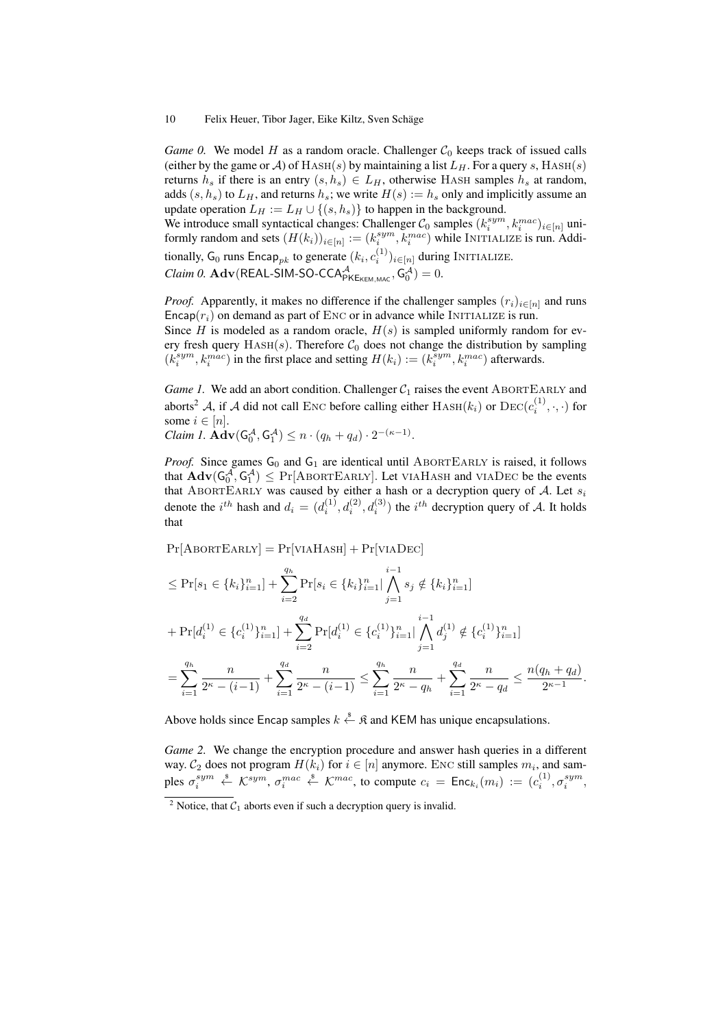*Game 0.* We model *H* as a random oracle. Challenger  $C_0$  keeps track of issued calls (either by the game or A) of  $HASH(s)$  by maintaining a list  $L_H$ . For a query s,  $HASH(s)$ returns  $h_s$  if there is an entry  $(s, h_s) \in L_H$ , otherwise HASH samples  $h_s$  at random, adds  $(s, h_s)$  to  $L_H$ , and returns  $h_s$ ; we write  $H(s) := h_s$  only and implicitly assume an update operation  $L_H := L_H \cup \{(s, h_s)\}\)$  to happen in the background.

We introduce small syntactical changes: Challenger  $\mathcal{C}_0$  samples  $(k_i^{sym}, k_i^{mac})_{i \in [n]}$  uniformly random and sets  $(H(k_i))_{i \in [n]} := (k_i^{sym}, k_i^{mac})$  while INITIALIZE is run. Additionally, G<sub>0</sub> runs Encap<sub>pk</sub> to generate  $(k_i, c_i^{(1)})_{i \in [n]}$  during INITIALIZE. *Claim 0.*  $\mathbf{Adv}(\mathsf{REAL-SIM-SO-CCA}_{\mathsf{PKE}_{\mathsf{KEM},\mathsf{MAC}},\mathsf{G}_{0}^{\mathcal{A}})=0.$ 

*Proof.* Apparently, it makes no difference if the challenger samples  $(r_i)_{i \in [n]}$  and runs Encap $(r_i)$  on demand as part of ENC or in advance while INITIALIZE is run.

Since H is modeled as a random oracle,  $H(s)$  is sampled uniformly random for every fresh query  $HASH(s)$ . Therefore  $C_0$  does not change the distribution by sampling  $(k_i^{sym}, k_i^{mac})$  in the first place and setting  $H(k_i) := (k_i^{sym}, k_i^{mac})$  afterwards.

*Game 1.* We add an abort condition. Challenger  $C_1$  raises the event ABORTEARLY and aborts<sup>2</sup> A, if A did not call ENC before calling either  $\text{HASH}(k_i)$  or  $\text{DEC}(c_i^{(1)}, \cdot, \cdot)$  for some  $i \in [n]$ . .

$$
Claim\ 1. \; \mathbf{Adv}(G_0^{\mathcal{A}}, G_1^{\mathcal{A}}) \leq n \cdot (q_h + q_d) \cdot 2^{-(\kappa - 1)}
$$

*Proof.* Since games  $G_0$  and  $G_1$  are identical until ABORTEARLY is raised, it follows that  $\mathbf{Adv}(G_0^{\overline{A}}, G_1^{\overline{A}}) \leq \Pr[\text{ABORTEARLY}].$  Let VIAHASH and VIADEC be the events that ABORTEARLY was caused by either a hash or a decryption query of  $A$ . Let  $s_i$ denote the  $i^{th}$  hash and  $d_i = (d_i^{(1)}, d_i^{(2)}, d_i^{(3)})$  the  $i^{th}$  decryption query of A. It holds that

$$
Pr[A\text{BORTEARLY}] = Pr[\text{VIAHASH}] + Pr[\text{VIADEC}]
$$
  
\n
$$
\leq Pr[s_1 \in \{k_i\}_{i=1}^n] + \sum_{i=2}^{q_h} Pr[s_i \in \{k_i\}_{i=1}^n] \bigwedge_{j=1}^{i-1} s_j \notin \{k_i\}_{i=1}^n]
$$
  
\n
$$
+ Pr[d_i^{(1)} \in \{c_i^{(1)}\}_{i=1}^n] + \sum_{i=2}^{q_d} Pr[d_i^{(1)} \in \{c_i^{(1)}\}_{i=1}^n] \bigwedge_{j=1}^{i-1} d_j^{(1)} \notin \{c_i^{(1)}\}_{i=1}^n]
$$
  
\n
$$
= \sum_{i=1}^{q_h} \frac{n}{2^{\kappa} - (i-1)} + \sum_{i=1}^{q_d} \frac{n}{2^{\kappa} - (i-1)} \leq \sum_{i=1}^{q_h} \frac{n}{2^{\kappa} - q_h} + \sum_{i=1}^{q_d} \frac{n}{2^{\kappa} - q_d} \leq \frac{n(q_h + q_d)}{2^{\kappa-1}}.
$$

Above holds since Encap samples  $k \stackrel{\text{s}}{\leftarrow}$   $\mathfrak{K}$  and KEM has unique encapsulations.

*Game 2.* We change the encryption procedure and answer hash queries in a different way.  $\mathcal{C}_2$  does not program  $H(k_i)$  for  $i \in [n]$  anymore. ENC still samples  $m_i$ , and samples  $\sigma_i^{sym} \stackrel{\hspace{0.1em}\mathsf{\scriptscriptstyle\$}}{\leftarrow} \mathcal{K}^{sym}$ ,  $\sigma_i^{mac} \stackrel{\hspace{0.1em}\mathsf{\scriptscriptstyle\$}}{\leftarrow} \mathcal{K}^{mac}$ , to compute  $c_i = \mathsf{Enc}_{k_i}(m_i) := (c_i^{(1)}, \sigma_i^{sym},$ 

<sup>&</sup>lt;sup>2</sup> Notice, that  $C_1$  aborts even if such a decryption query is invalid.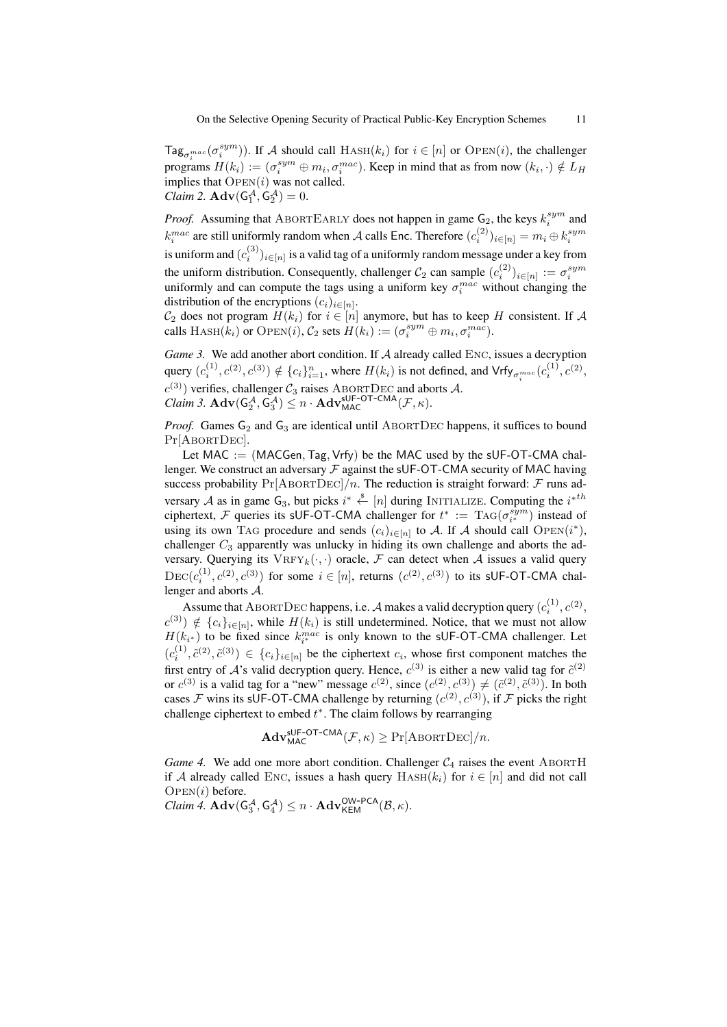$\text{Tag}_{\sigma_i^{mac}}(\sigma_i^{sym})$ ). If A should call  $\text{Hash}(k_i)$  for  $i \in [n]$  or  $\text{Open}(i)$ , the challenger programs  $H(k_i) := (\sigma_i^{sym} \oplus m_i, \sigma_i^{mac})$ . Keep in mind that as from now  $(k_i, \cdot) \notin L_H$ implies that  $OPEN(i)$  was not called. *Claim 2.*  $\mathbf{Adv}(\mathsf{G}_1^{\mathcal{A}}, \mathsf{G}_2^{\mathcal{A}})=0.$ 

*Proof.* Assuming that ABORTEARLY does not happen in game  $G_2$ , the keys  $k_i^{sym}$  and  $k_i^{mac}$  are still uniformly random when A calls Enc. Therefore  $(c_i^{(2)})_{i \in [n]} = m_i \oplus k_i^{sym}$ is uniform and  $(c_i^{(3)})_{i \in [n]}$  is a valid tag of a uniformly random message under a key from the uniform distribution. Consequently, challenger  $C_2$  can sample  $(c_i^{(2)})_{i \in [n]} := \sigma_i^{sym}$ uniformly and can compute the tags using a uniform key  $\sigma_i^{mac}$  without changing the distribution of the encryptions  $(c_i)_{i \in [n]}$ .

 $\mathcal{C}_2$  does not program  $H(k_i)$  for  $i \in [n]$  anymore, but has to keep H consistent. If A calls  $\text{HASH}(k_i)$  or  $\text{OPEN}(i)$ ,  $\mathcal{C}_2$  sets  $H(k_i) := (\sigma_i^{sym} \oplus m_i, \sigma_i^{mac})$ .

*Game 3.* We add another abort condition. If A already called ENC, issues a decryption query  $(c_i^{(1)}, c^{(2)}, c^{(3)}) \notin \{c_i\}_{i=1}^n$ , where  $H(k_i)$  is not defined, and  $\mathsf{Vrf}_{\mathsf{y}_{\sigma_i^{mac}}}(c_i^{(1)}, c^{(2)}, c^{(3)})$  $c^{(3)}$ ) verifies, challenger  $C_3$  raises ABORTDEC and aborts A. *Claim 3.*  $\mathbf{Adv}(G_2^{\mathcal{A}}, G_3^{\mathcal{A}}) \leq n \cdot \mathbf{Adv}_{MAC}^{\mathsf{sUF-OT-CMA}}(\mathcal{F}, \kappa).$ 

*Proof.* Games  $G_2$  and  $G_3$  are identical until ABORTDEC happens, it suffices to bound Pr[ABORTDEC].

Let MAC  $:=(MACGen, Tag, Vrfv)$  be the MAC used by the sUF-OT-CMA challenger. We construct an adversary  $\mathcal F$  against the sUF-OT-CMA security of MAC having success probability  $Pr[ABORTDEC]/n$ . The reduction is straight forward: F runs adversary A as in game  $G_3$ , but picks  $i^* \stackrel{\$}{\leftarrow} [n]$  during INITIALIZE. Computing the  $i^{*th}$ ciphertext, F queries its sUF-OT-CMA challenger for  $t^* := \text{TAG}(\sigma_{i^*}^{sym})$  instead of using its own TAG procedure and sends  $(c_i)_{i \in [n]}$  to A. If A should call OPEN $(i^*)$ , challenger  $C_3$  apparently was unlucky in hiding its own challenge and aborts the adversary. Querying its  $VRFY_k(\cdot, \cdot)$  oracle, F can detect when A issues a valid query  $DEC(c_i^{(1)}, c^{(2)}, c^{(3)})$  for some  $i \in [n]$ , returns  $(c^{(2)}, c^{(3)})$  to its sUF-OT-CMA challenger and aborts A.

Assume that ABORTDEC happens, i.e. A makes a valid decryption query  $(c_i^{(1)}, c^{(2)},$  $c^{(3)}$ )  $\notin \{c_i\}_{i\in[n]}$ , while  $H(k_i)$  is still undetermined. Notice, that we must not allow  $H(k_{i^*})$  to be fixed since  $k_{i^*}^{mac}$  is only known to the sUF-OT-CMA challenger. Let  $(c_i^{(1)}, \tilde{c}^{(2)}, \tilde{c}^{(3)}) \in \{c_i\}_{i \in [n]}$  be the ciphertext  $c_i$ , whose first component matches the first entry of  $A$ 's valid decryption query. Hence,  $c^{(3)}$  is either a new valid tag for  $\tilde{c}^{(2)}$ or  $c^{(3)}$  is a valid tag for a "new" message  $c^{(2)}$ , since  $(c^{(2)}, c^{(3)}) \neq (\tilde{c}^{(2)}, \tilde{c}^{(3)})$ . In both cases F wins its sUF-OT-CMA challenge by returning  $(c^{(2)}, c^{(3)})$ , if F picks the right challenge ciphertext to embed  $t^*$ . The claim follows by rearranging

$$
\mathbf{Adv}_{\mathsf{MAC}}^{\mathsf{sUF-OT-CMA}}(\mathcal{F}, \kappa) \geq \Pr[\mathrm{ABORTDEC}]/n.
$$

*Game 4.* We add one more abort condition. Challenger  $C_4$  raises the event ABORTH if A already called ENC, issues a hash query  $HASH(k_i)$  for  $i \in [n]$  and did not call  $OPEN(i)$  before.

 $\textit{Claim 4.} \text{Adv}(\mathsf{G}_3^{\mathcal{A}}, \mathsf{G}_4^{\mathcal{A}}) \leq n \cdot \text{Adv}_{\mathsf{KEM}}^{\mathsf{OW-PCA}}(\mathcal{B}, \kappa).$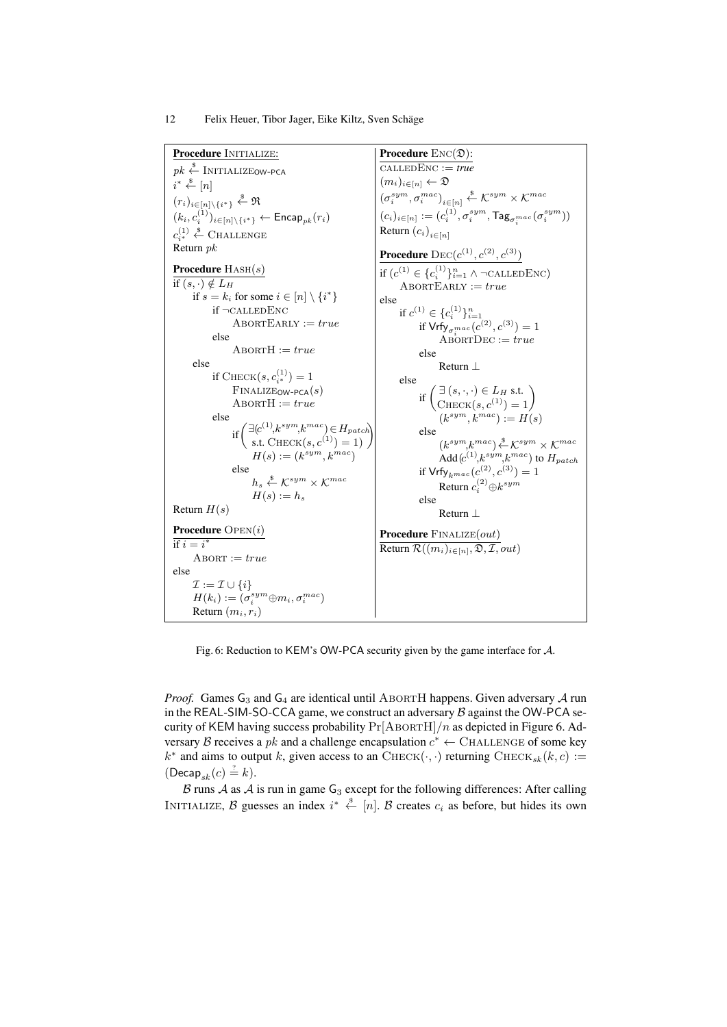Procedure INITIALIZE:  $pk \overset{\$}{\leftarrow}$  Initialize<sub>OW-PCA</sub>  $i^* \overset{\$}{\leftarrow} [n]$  $(r_i)_{i\in[n]\setminus\{i^*\}} \overset{\$}{\leftarrow} \mathfrak{R}$  $(k_i, c_i^{(1)})_{i \in [n] \setminus \{i^*\}} \leftarrow {\sf Encap}_{pk}(r_i)$  $c_{i^*}^{(1)} \overset{\$}{\leftarrow}$  Challenge Return pk Procedure  $HASH(s)$ if  $(s, \cdot) \notin L_H$ if  $s = k_i$  for some  $i \in [n] \setminus \{i^*\}$ if ¬calledEnc  ${\bf \small \textbf{ABORTEARLY}} := true$ else  $ABORTH := true$ else if  $\text{CHECK}(s, c_{i^*}^{(1)}) = 1$  $F$ INALIZE<sub>OW-PCA</sub> $(s)$  $A$ BORT $H := true$ else if  $\begin{pmatrix} \exists (c^{(1)}, k^{sym}, k^{mac}) \in H_{patch} \\ \text{s.t. } \text{CHECK}(s, c^{(1)}) = 1 \end{pmatrix}$  $H(s) := (k^{sym}, k^{mac})$ else  $h_s \overset{\$}{\leftarrow} \mathcal{K}^{sym} \times \mathcal{K}^{mac}$  $H(s) := h_s$ Return  $H(s)$ Procedure OPEN(i) if  $i=i^*$  $A$ BORT :=  $true$ else  $\mathcal{I} := \mathcal{I} \cup \{i\}$  $H(k_i):=(\sigma_i^{sym} {\oplus} m_i, \sigma_i^{mac})$ Return  $(m_i, r_i)$ Procedure  $\text{Enc}(\mathfrak{D})$ :  $\overline{\text{CALLEDENC} := \text{true}}$  $(m_i)_{i\in[n]} \leftarrow \mathfrak{D}$  $(\sigma_i^{sym}, \sigma_i^{mac})_{i \in [n]} \overset{\$}{\leftarrow} \mathcal{K}^{sym} \times \mathcal{K}^{mac}$  $(c_i)_{i \in [n]} := (c_i^{(1)}, \sigma_i^{sym}, \textsf{Tag}_{\sigma_i^{mac}}(\sigma_i^{sym}))$ Return  $(c_i)_{i \in [n]}$ **Procedure**  ${\rm DEC}(c^{(1)}, c^{(2)}, c^{(3)})$ if  $(c^{(1)} \in \{c_i^{(1)}\}_{i=1}^n \land \neg \text{CALLEDENC})$  $ABORTEARLY := true$ else if  $c^{(1)} \in \{c_i^{(1)}\}_{i=1}^n$ <br>if  $\mathsf{Vrfy}_{\sigma_i^{mac}}(c^{(2)}, c^{(3)}) = 1$  $\overrightarrow{\mathrm{ABORTDEC}} := true$ else Return ⊥ else if  $\begin{pmatrix} \exists (s, \cdot, \cdot) \in L_H \text{ s.t.} \\ \text{CHECK}(s, c^{(1)}) = 1 \end{pmatrix}$  $(k^{sym},k^{mac}):=H(s)$ else  $(k^{sym},k^{mac}) \stackrel{\$}{\leftarrow} \mathcal{K}^{sym} \times \mathcal{K}^{mac}$ Add  $(c^{(1)}, k^{sym}, k^{mac})$  to  $H_{patch}$ if  $\mathsf{Vrfy}_{k^{mac}}(c^{(2)}, c^{(3)}) = 1$ Return  $c_i^{(2)} \oplus k^{sym}$ else Return ⊥ Procedure FINALIZE(out) Return  $\mathcal{R}((m_i)_{i \in [n]}, \mathfrak{D}, \mathcal{I}, out)$ 

Fig. 6: Reduction to KEM's OW-PCA security given by the game interface for A.

*Proof.* Games  $G_3$  and  $G_4$  are identical until ABORTH happens. Given adversary A run in the REAL-SIM-SO-CCA game, we construct an adversary  $B$  against the OW-PCA security of KEM having success probability  $Pr[ABORTH]/n$  as depicted in Figure 6. Adversary B receives a pk and a challenge encapsulation  $c^* \leftarrow$  CHALLENGE of some key  $k^*$  and aims to output k, given access to an CHECK $(\cdot, \cdot)$  returning CHECK $_{sk}(k, c) :=$  $( \textsf{Decap}_{sk}(c) \stackrel{?}{=} k).$ 

 $\beta$  runs  $\mathcal A$  as  $\mathcal A$  is run in game  $\mathsf G_3$  except for the following differences: After calling INITIALIZE, B guesses an index  $i^* \stackrel{\$}{\leftarrow} [n]$ . B creates  $c_i$  as before, but hides its own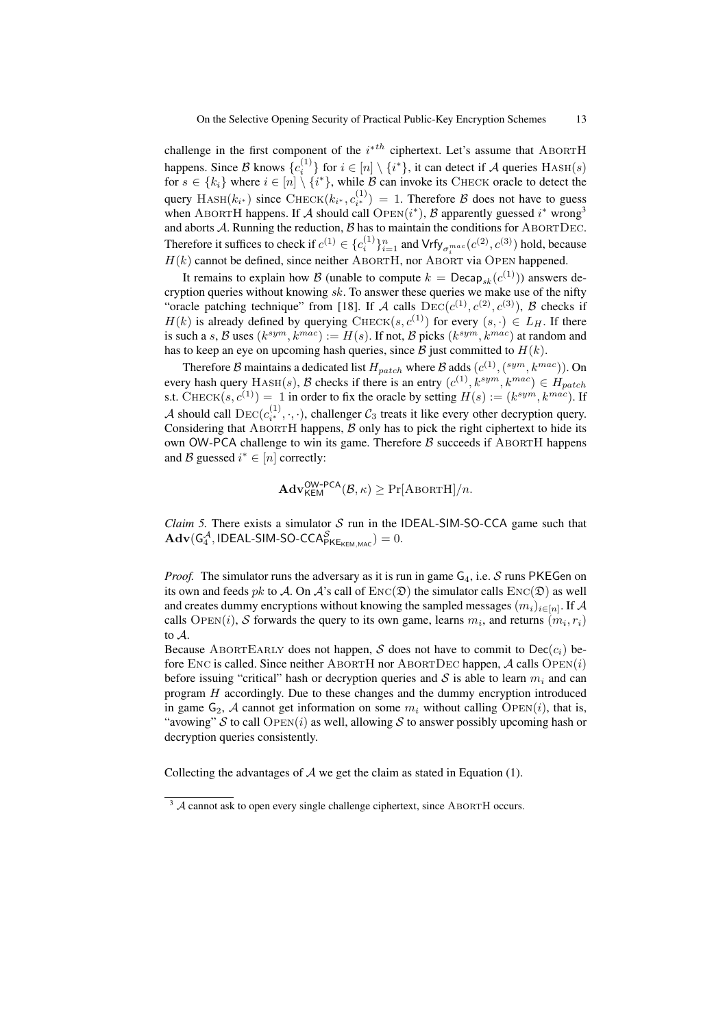challenge in the first component of the  $i^{*th}$  ciphertext. Let's assume that ABORTH happens. Since B knows  $\{c_i^{(1)}\}$  for  $i \in [n] \setminus \{i^*\}$ , it can detect if A queries  $\text{HASH}(s)$ for  $s \in \{k_i\}$  where  $i \in [n] \setminus \{i^*\}$ , while B can invoke its CHECK oracle to detect the query HASH( $k_{i^*}$ ) since CHECK( $k_{i^*}, c_{i^*}^{(1)}$ ) = 1. Therefore  $\beta$  does not have to guess when ABORTH happens. If A should call  $\text{OPEN}(i^*)$ , B apparently guessed  $i^*$  wrong<sup>3</sup> and aborts  $A$ . Running the reduction,  $B$  has to maintain the conditions for ABORTDEC. Therefore it suffices to check if  $c^{(1)} \in \{c_i^{(1)}\}_{i=1}^n$  and  $\text{Vrf}_{\sigma_i^{mac}}(c^{(2)}, c^{(3)})$  hold, because  $H(k)$  cannot be defined, since neither ABORTH, nor ABORT via OPEN happened.

It remains to explain how B (unable to compute  $k = \text{Decap}_{sk}(c^{(1)})$ ) answers decryption queries without knowing  $sk$ . To answer these queries we make use of the nifty "oracle patching technique" from [18]. If A calls  $\text{DEC}(c^{(1)}, c^{(2)}, c^{(3)})$ , B checks if  $H(k)$  is already defined by querying CHECK(s,  $c^{(1)}$ ) for every  $(s, \cdot) \in L_H$ . If there is such a s, B uses  $(k^{sym}, k^{mac}) := H(s)$ . If not, B picks  $(k^{sym}, k^{mac})$  at random and has to keep an eye on upcoming hash queries, since  $\mathcal B$  just committed to  $H(k)$ .

Therefore B maintains a dedicated list  $H_{patch}$  where B adds  $(c^{(1)}, (sym, k^{mac}))$ . On every hash query  $HASH(s)$ , B checks if there is an entry  $(c^{(1)}, k^{sym}, k^{mac}) \in H_{patch}$ s.t. CHECK $(s, c^{(1)}) = 1$  in order to fix the oracle by setting  $H(s) := (k^{sym}, k^{mac})$ . If A should call  $\text{DEC}(c_{i^*}^{(1)}, \cdot, \cdot)$ , challenger  $C_3$  treats it like every other decryption query. Considering that ABORTH happens,  $\beta$  only has to pick the right ciphertext to hide its own OW-PCA challenge to win its game. Therefore  $\beta$  succeeds if ABORTH happens and B guessed  $i^* \in [n]$  correctly:

$$
\mathbf{Adv}_{\mathsf{KEM}}^{\mathsf{OW-PCA}}(\mathcal{B}, \kappa) \geq \Pr[\mathrm{ABORTH}]/n.
$$

*Claim 5.* There exists a simulator  $S$  run in the IDEAL-SIM-SO-CCA game such that  $\mathbf{Adv}(\mathsf{G}_4^{\mathcal{A}}, \mathsf{IDEAL-SIM-SO-CCA}_{\mathsf{PKE}_{\mathsf{KEM}, \mathsf{MAC}}^{\mathcal{S}})=0.$ 

*Proof.* The simulator runs the adversary as it is run in game  $G_4$ , i.e. S runs PKEGen on its own and feeds pk to A. On A's call of  $Enc(\mathfrak{D})$  the simulator calls  $Enc(\mathfrak{D})$  as well and creates dummy encryptions without knowing the sampled messages  $(m_i)_{i \in [n]}$ . If  ${\mathcal{A}}$ calls OPEN(i), S forwards the query to its own game, learns  $m_i$ , and returns  $(m_i, r_i)$ to A.

Because ABORTEARLY does not happen, S does not have to commit to  $\text{Dec}(c_i)$  before ENC is called. Since neither ABORTH nor ABORTDEC happen,  $A$  calls  $\text{OPEN}(i)$ before issuing "critical" hash or decryption queries and S is able to learn  $m_i$  and can program H accordingly. Due to these changes and the dummy encryption introduced in game  $G_2$ , A cannot get information on some  $m_i$  without calling  $\text{OPEN}(i)$ , that is, "avowing" S to call  $\text{Open}(i)$  as well, allowing S to answer possibly upcoming hash or decryption queries consistently.

Collecting the advantages of  $A$  we get the claim as stated in Equation (1).

 $3 \text{ A}$  cannot ask to open every single challenge ciphertext, since ABORTH occurs.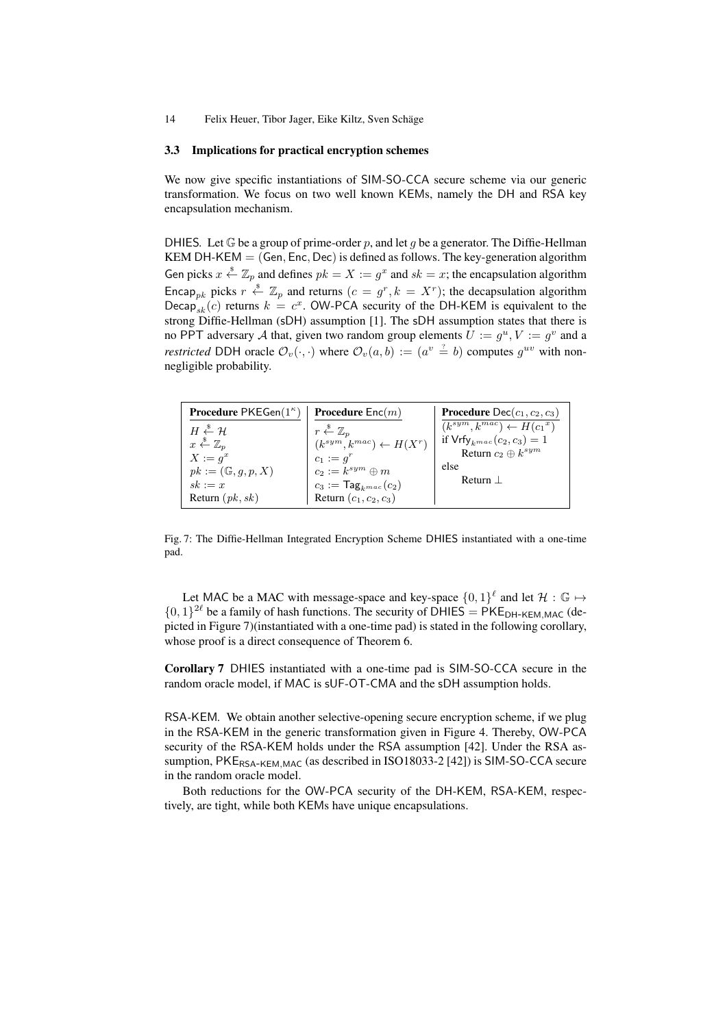#### 3.3 Implications for practical encryption schemes

We now give specific instantiations of SIM-SO-CCA secure scheme via our generic transformation. We focus on two well known KEMs, namely the DH and RSA key encapsulation mechanism.

DHIES. Let  $\mathbb G$  be a group of prime-order p, and let q be a generator. The Diffie-Hellman KEM DH-KEM  $=$  (Gen, Enc, Dec) is defined as follows. The key-generation algorithm Gen picks  $x \stackrel{s}{\leftarrow} \mathbb{Z}_p$  and defines  $pk = X := g^x$  and  $sk = x$ ; the encapsulation algorithm Encap<sub>pk</sub> picks  $r \stackrel{\$}{\leftarrow} \mathbb{Z}_p$  and returns  $(c = g^r, k = X^r)$ ; the decapsulation algorithm Decap<sub>sk</sub> $(c)$  returns  $k = c<sup>x</sup>$ . OW-PCA security of the DH-KEM is equivalent to the strong Diffie-Hellman (sDH) assumption [1]. The sDH assumption states that there is no PPT adversary A that, given two random group elements  $U := g^u, V := g^v$  and a *restricted* DDH oracle  $\mathcal{O}_v(\cdot, \cdot)$  where  $\mathcal{O}_v(a, b) := (a^v \stackrel{?}{=} b)$  computes  $g^{uv}$  with nonnegligible probability.

| <b>Procedure PKEGen</b> $(1^{\kappa})$                                                                                                                                  | <b>Procedure</b> $Enc(m)$                                                                                                                                                                          | <b>Procedure</b> Dec $(c_1, c_2, c_3)$                                                                                       |
|-------------------------------------------------------------------------------------------------------------------------------------------------------------------------|----------------------------------------------------------------------------------------------------------------------------------------------------------------------------------------------------|------------------------------------------------------------------------------------------------------------------------------|
| $H \overset{\$}{\leftarrow} \mathcal{H}$<br>$x \stackrel{\$}{\leftarrow} \mathbb{Z}_p$<br>$X := q^x$<br>$pk := (\mathbb{G}, g, p, X)$<br>$sk := x$<br>Return $(pk, sk)$ | $r \stackrel{\$}{\leftarrow} \mathbb{Z}_p$<br>$(k^{sym}, k^{mac}) \leftarrow H(X^r)$<br>$c_1 := q^r$<br>$c_2 := k^{sym} \oplus m$<br>$c_3 := \mathsf{Tag}_{kmac}(c_2)$<br>Return $(c_1, c_2, c_3)$ | $(k^{sym},k^{mac}) \leftarrow H(c_1^x)$<br>if $Vrfy_{kmac}(c_2, c_3) = 1$<br>Return $c_2 \oplus k^{sym}$<br>else<br>Return 1 |

Fig. 7: The Diffie-Hellman Integrated Encryption Scheme DHIES instantiated with a one-time pad.

Let MAC be a MAC with message-space and key-space  $\{0,1\}^{\ell}$  and let  $\mathcal{H}: \mathbb{G} \mapsto$  $\{0,1\}^{2\ell}$  be a family of hash functions. The security of DHIES = PKE<sub>DH-KEM, MAC</sub> (depicted in Figure 7)(instantiated with a one-time pad) is stated in the following corollary, whose proof is a direct consequence of Theorem 6.

Corollary 7 DHIES instantiated with a one-time pad is SIM-SO-CCA secure in the random oracle model, if MAC is sUF-OT-CMA and the sDH assumption holds.

RSA*-*KEM*.* We obtain another selective-opening secure encryption scheme, if we plug in the RSA-KEM in the generic transformation given in Figure 4. Thereby, OW-PCA security of the RSA-KEM holds under the RSA assumption [42]. Under the RSA assumption, PKE<sub>RSA-KEM,MAC</sub> (as described in ISO18033-2 [42]) is SIM-SO-CCA secure in the random oracle model.

Both reductions for the OW-PCA security of the DH-KEM, RSA-KEM, respectively, are tight, while both KEMs have unique encapsulations.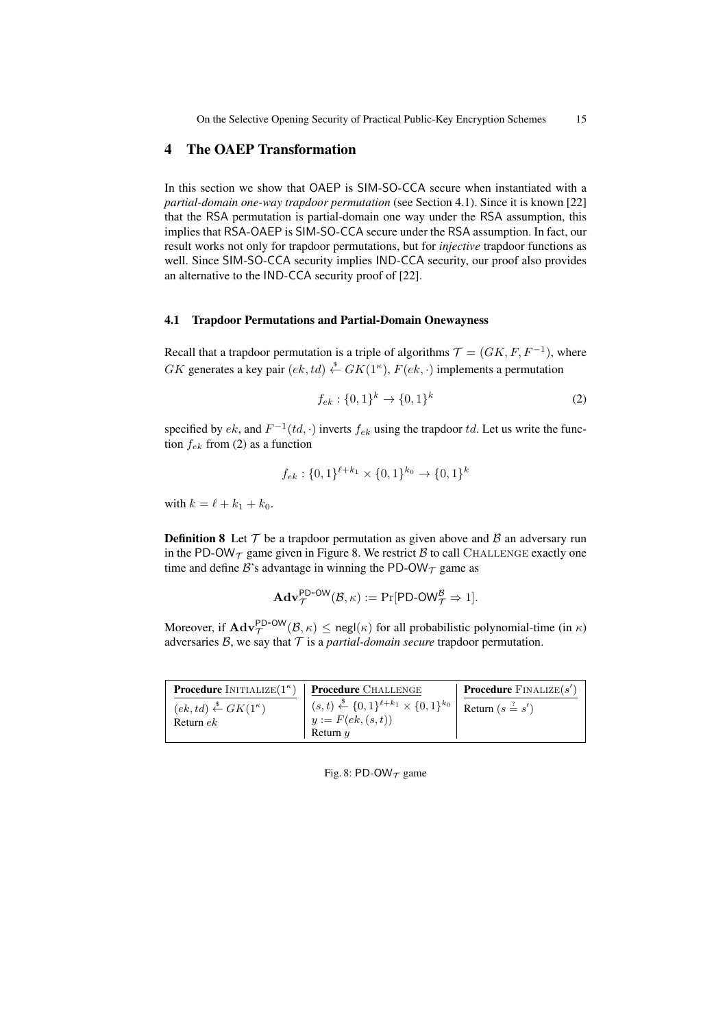# 4 The OAEP Transformation

In this section we show that OAEP is SIM-SO-CCA secure when instantiated with a *partial-domain one-way trapdoor permutation* (see Section 4.1). Since it is known [22] that the RSA permutation is partial-domain one way under the RSA assumption, this implies that RSA-OAEP is SIM-SO-CCA secure under the RSA assumption. In fact, our result works not only for trapdoor permutations, but for *injective* trapdoor functions as well. Since SIM-SO-CCA security implies IND-CCA security, our proof also provides an alternative to the IND-CCA security proof of [22].

## 4.1 Trapdoor Permutations and Partial-Domain Onewayness

Recall that a trapdoor permutation is a triple of algorithms  $\mathcal{T} = (GK, F, F^{-1})$ , where GK generates a key pair  $(ek, td) \stackrel{\$}{\leftarrow} GK(1^{\kappa}), F(ek, \cdot)$  implements a permutation

$$
f_{ek}: \{0,1\}^k \to \{0,1\}^k \tag{2}
$$

specified by  $ek$ , and  $F^{-1}(td, \cdot)$  inverts  $f_{ek}$  using the trapdoor  $td$ . Let us write the function  $f_{ek}$  from (2) as a function

$$
f_{ek}: \{0,1\}^{\ell+k_1} \times \{0,1\}^{k_0} \to \{0,1\}^k
$$

with  $k = \ell + k_1 + k_0$ .

**Definition 8** Let  $T$  be a trapdoor permutation as given above and  $\beta$  an adversary run in the PD-OW $_{\mathcal{T}}$  game given in Figure 8. We restrict  $\beta$  to call CHALLENGE exactly one time and define B's advantage in winning the PD-OW $_{\mathcal{T}}$  game as

$$
\mathbf{Adv}_{\mathcal{T}}^{\mathsf{PD-OW}}(\mathcal{B}, \kappa) := \Pr[\mathsf{PD-OW}_{\mathcal{T}}^{\mathcal{B}} \Rightarrow 1].
$$

Moreover, if  $\mathbf{Adv}_{\mathcal{T}}^{\mathsf{PD-OW}}(\mathcal{B}, \kappa) \le \mathsf{negl}(\kappa)$  for all probabilistic polynomial-time (in  $\kappa$ ) adversaries  $B$ , we say that  $T$  is a *partial-domain secure* trapdoor permutation.

| <b>Procedure</b> INITIALIZE $(1^{\kappa})$          | <b>Procedure</b> CHALLENGE                                                                                                                                    | <b>Procedure</b> $\text{FINALIZE}(s')$ |
|-----------------------------------------------------|---------------------------------------------------------------------------------------------------------------------------------------------------------------|----------------------------------------|
| $(ek, td) \stackrel{\$}{\leftarrow} GK(1^{\kappa})$ | $\begin{array}{c} (s,t) \stackrel{\$}{\leftarrow} \{0,1\}^{\ell+k_1} \times \{0,1\}^{k_0} \end{array}$ Return $(s \stackrel{?}{=} s')$<br>$y := F(ek, (s,t))$ |                                        |
| Return $ek$                                         | Return $\eta$                                                                                                                                                 |                                        |

#### Fig. 8: PD-OW $_{\mathcal{T}}$  game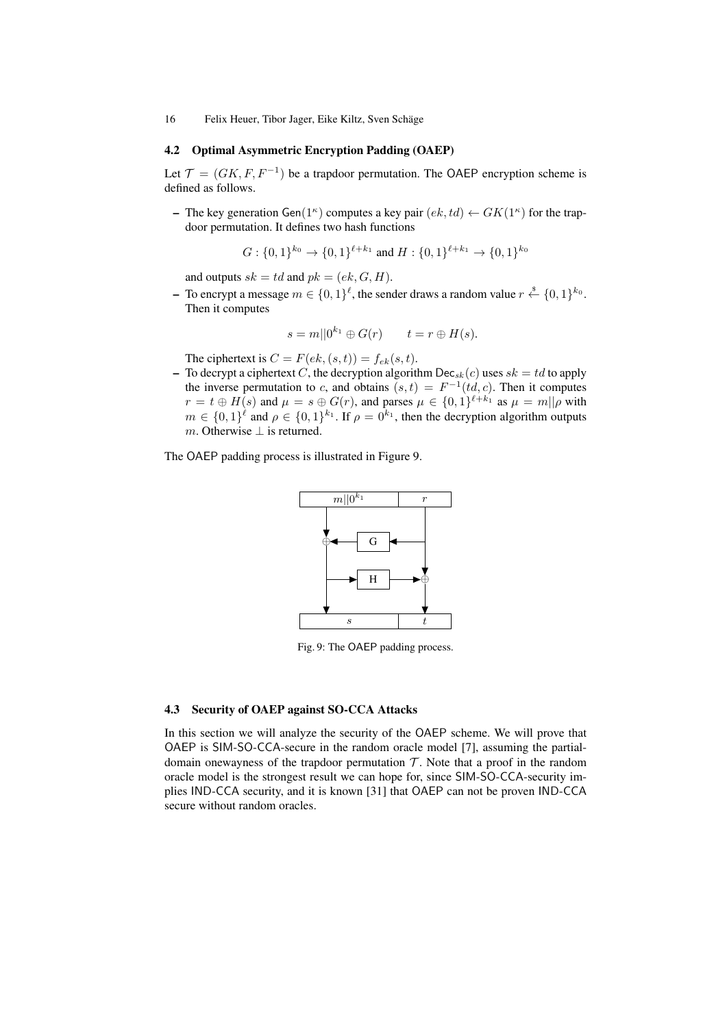#### 4.2 Optimal Asymmetric Encryption Padding (OAEP)

Let  $\mathcal{T} = (GK, F, F^{-1})$  be a trapdoor permutation. The OAEP encryption scheme is defined as follows.

- The key generation  $Gen(1^{\kappa})$  computes a key pair  $(ek, td) \leftarrow GK(1^{\kappa})$  for the trapdoor permutation. It defines two hash functions

$$
G: \{0,1\}^{k_0} \to \{0,1\}^{\ell+k_1}
$$
 and  $H: \{0,1\}^{\ell+k_1} \to \{0,1\}^{k_0}$ 

and outputs  $sk = td$  and  $pk = (ek, G, H)$ .

− To encrypt a message  $m \in \{0,1\}^{\ell}$ , the sender draws a random value  $r \stackrel{\$}{\leftarrow} \{0,1\}^{k_0}$ . Then it computes

$$
s = m||0^{k_1} \oplus G(r) \qquad t = r \oplus H(s).
$$

The ciphertext is  $C = F(ek, (s, t)) = f_{ek}(s, t)$ .

– To decrypt a ciphertext C, the decryption algorithm  $\text{Dec}_{sk}(c)$  uses  $sk = td$  to apply the inverse permutation to c, and obtains  $(s,t) = F^{-1}(td, c)$ . Then it computes  $r = t \oplus H(s)$  and  $\mu = s \oplus G(r)$ , and parses  $\mu \in \{0,1\}^{\ell+k_1}$  as  $\mu = m||\rho$  with  $m \in \{0,1\}^{\ell}$  and  $\rho \in \{0,1\}^{k_1}$ . If  $\rho = 0^{k_1}$ , then the decryption algorithm outputs m. Otherwise  $\perp$  is returned.

The OAEP padding process is illustrated in Figure 9.



Fig. 9: The OAEP padding process.

#### 4.3 Security of OAEP against SO-CCA Attacks

In this section we will analyze the security of the OAEP scheme. We will prove that OAEP is SIM-SO-CCA-secure in the random oracle model [7], assuming the partialdomain onewayness of the trapdoor permutation  $T$ . Note that a proof in the random oracle model is the strongest result we can hope for, since SIM-SO-CCA-security implies IND-CCA security, and it is known [31] that OAEP can not be proven IND-CCA secure without random oracles.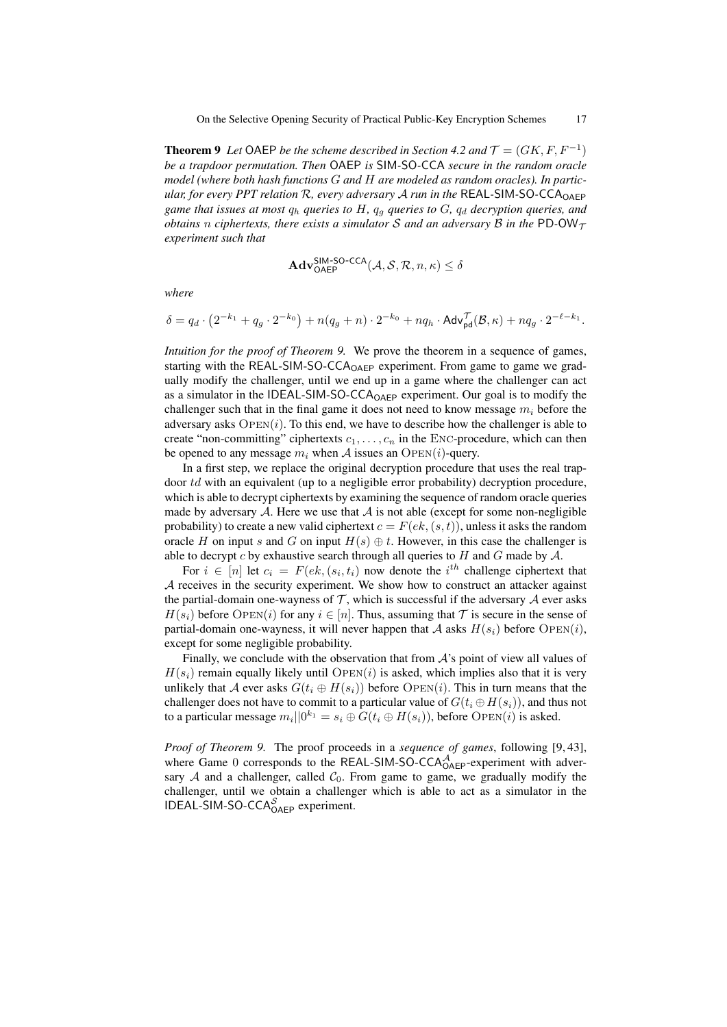**Theorem 9** Let OAEP be the scheme described in Section 4.2 and  $\mathcal{T} = (GK, F, F^{-1})$ *be a trapdoor permutation. Then* OAEP *is* SIM*-*SO*-*CCA *secure in the random oracle model (where both hash functions* G *and* H *are modeled as random oracles). In particular, for every PPT relation* R*, every adversary* A *run in the* REAL*-*SIM*-*SO*-*CCAOAEP *game that issues at most*  $q_h$  *queries to*  $H$ *,*  $q_q$  *queries to*  $G$ *,*  $q_d$  *decryption queries, and obtains n ciphertexts, there exists a simulator S and an adversary B in the* PD-OW<sub>T</sub> *experiment such that*

$$
\mathbf{Adv}_{\mathsf{OAEP}}^{\mathsf{SIM-SO-CCA}}(\mathcal{A}, \mathcal{S}, \mathcal{R}, n, \kappa) \le \delta
$$

*where*

$$
\delta = q_d \cdot \left(2^{-k_1} + q_g \cdot 2^{-k_0}\right) + n(q_g + n) \cdot 2^{-k_0} + nq_h \cdot \mathsf{Adv}_{\mathsf{pd}}^{\mathcal{T}}(\mathcal{B}, \kappa) + nq_g \cdot 2^{-\ell - k_1}.
$$

*Intuition for the proof of Theorem 9.* We prove the theorem in a sequence of games, starting with the REAL-SIM-SO-CCA<sub>OAFP</sub> experiment. From game to game we gradually modify the challenger, until we end up in a game where the challenger can act as a simulator in the IDEAL-SIM-SO-CCA<sub>OAEP</sub> experiment. Our goal is to modify the challenger such that in the final game it does not need to know message  $m_i$  before the adversary asks  $\text{OPEN}(i)$ . To this end, we have to describe how the challenger is able to create "non-committing" ciphertexts  $c_1, \ldots, c_n$  in the ENC-procedure, which can then be opened to any message  $m_i$  when A issues an OPEN(i)-query.

In a first step, we replace the original decryption procedure that uses the real trapdoor td with an equivalent (up to a negligible error probability) decryption procedure, which is able to decrypt ciphertexts by examining the sequence of random oracle queries made by adversary  $A$ . Here we use that  $A$  is not able (except for some non-negligible probability) to create a new valid ciphertext  $c = F(ek, (s, t))$ , unless it asks the random oracle H on input s and G on input  $H(s) \oplus t$ . However, in this case the challenger is able to decrypt c by exhaustive search through all queries to  $H$  and  $G$  made by  $\mathcal{A}$ .

For  $i \in [n]$  let  $c_i = F(ek, (s_i, t_i))$  now denote the  $i<sup>th</sup>$  challenge ciphertext that A receives in the security experiment. We show how to construct an attacker against the partial-domain one-wayness of  $\mathcal T$ , which is successful if the adversary  $\mathcal A$  ever asks  $H(s_i)$  before OPEN(i) for any  $i \in [n]$ . Thus, assuming that T is secure in the sense of partial-domain one-wayness, it will never happen that A asks  $H(s_i)$  before  $\text{OPEN}(i)$ , except for some negligible probability.

Finally, we conclude with the observation that from  $A$ 's point of view all values of  $H(s_i)$  remain equally likely until OPEN(i) is asked, which implies also that it is very unlikely that A ever asks  $G(t_i \oplus H(s_i))$  before OPEN(i). This in turn means that the challenger does not have to commit to a particular value of  $G(t_i \oplus H(s_i))$ , and thus not to a particular message  $m_i||0^{k_1} = s_i \oplus \overline{G(t_i \oplus H(s_i))}$ , before  $\overline{OPEN}(i)$  is asked.

*Proof of Theorem 9.* The proof proceeds in a *sequence of games*, following [9, 43], where Game 0 corresponds to the REAL-SIM-SO-CCA $_{O AEP}^{\mathcal{A}}$ -experiment with adversary  $A$  and a challenger, called  $C_0$ . From game to game, we gradually modify the challenger, until we obtain a challenger which is able to act as a simulator in the IDEAL-SIM-SO-CCA<sup>S</sup><sub>OAEP</sub> experiment.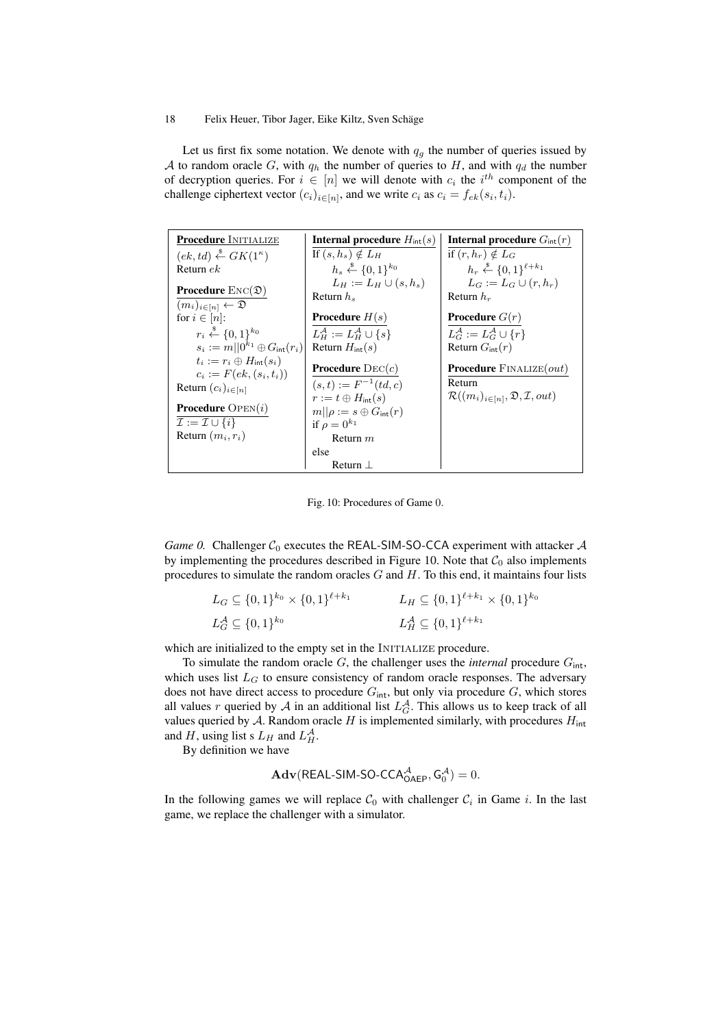Let us first fix some notation. We denote with  $q_g$  the number of queries issued by A to random oracle G, with  $q_h$  the number of queries to H, and with  $q_d$  the number of decryption queries. For  $i \in [n]$  we will denote with  $c_i$  the  $i^{th}$  component of the challenge ciphertext vector  $(c_i)_{i \in [n]}$ , and we write  $c_i$  as  $c_i = f_{ek}(s_i, t_i)$ .

| <b>Procedure INITIALIZE</b>                         | <b>Internal procedure</b> $H_{\text{int}}(s)$       | <b>Internal procedure</b> $G_{\text{int}}(r)$                    |
|-----------------------------------------------------|-----------------------------------------------------|------------------------------------------------------------------|
| $(ek, td) \stackrel{\$}{\leftarrow} GK(1^{\kappa})$ | If $(s, h_s) \notin L_H$                            | if $(r, h_r) \notin L_G$                                         |
| Return $ek$                                         | $h_s \stackrel{\$}{\leftarrow} \{0,1\}^{k_0}$       | $h_r \xleftarrow{\$} \{0,1\}^{\ell+k_1}$                         |
| <b>Procedure</b> $\text{Enc}(\mathfrak{D})$         | $L_H := L_H \cup (s, h_s)$                          | $L_G := L_G \cup (r, h_r)$                                       |
| $(m_i)_{i \in [n]} \leftarrow \mathfrak{D}$         | Return $h_s$                                        | Return $h_r$                                                     |
| for $i \in [n]$ :                                   | <b>Procedure</b> $H(s)$                             | <b>Procedure</b> $G(r)$                                          |
| $r_i \xleftarrow{\$} \{0,1\}^{k_0}$                 | $L_H^{\mathcal{A}} := L_H^{\mathcal{A}} \cup \{s\}$ | $L_G^{\mathcal{A}} := L_G^{\mathcal{A}} \cup \{r\}$              |
| $s_i := m   0^{k_1} \oplus G_{\rm int}(r_i)  $      | Return $H_{\text{int}}(s)$                          | Return $G_{\text{int}}(r)$                                       |
| $t_i := r_i \oplus H_{\rm int}(s_i)$                | <b>Procedure</b> $\text{DEC}(c)$                    | <b>Procedure</b> FINALIZE $(out)$                                |
| $c_i := F(ek, (s_i, t_i))$                          | $(s,t) := F^{-1}(td,c)$                             | Return                                                           |
| Return $(c_i)_{i \in [n]}$                          | $r := t \oplus H_{\rm int}(s)$                      | $\mathcal{R}((m_i)_{i \in [n]}, \mathfrak{D}, \mathcal{I}, out)$ |
| <b>Procedure</b> $OPEN(i)$                          | $m  \rho := s \oplus G_{\rm int}(r)$                |                                                                  |
| $\mathcal{I} := \mathcal{I} \cup \{i\}$             | if $\rho = 0^{k_1}$                                 |                                                                  |
| Return $(m_i, r_i)$                                 | Return $m$                                          |                                                                  |
|                                                     | else                                                |                                                                  |
|                                                     | Return L                                            |                                                                  |

Fig. 10: Procedures of Game 0.

*Game 0.* Challenger  $C_0$  executes the REAL-SIM-SO-CCA experiment with attacker  $A$ by implementing the procedures described in Figure 10. Note that  $C_0$  also implements procedures to simulate the random oracles  $G$  and  $H$ . To this end, it maintains four lists

| $L_G \subseteq \{0,1\}^{k_0} \times \{0,1\}^{\ell+k_1}$ | $L_H \subseteq \{0,1\}^{\ell+k_1} \times \{0,1\}^{k_0}$ |
|---------------------------------------------------------|---------------------------------------------------------|
| $L_G^{\mathcal{A}} \subseteq \{0,1\}^{k_0}$             | $L_H^{\mathcal{A}} \subseteq \{0,1\}^{\ell+k_1}$        |

which are initialized to the empty set in the INITIALIZE procedure.

To simulate the random oracle  $G$ , the challenger uses the *internal* procedure  $G_{\text{int}}$ , which uses list  $L_G$  to ensure consistency of random oracle responses. The adversary does not have direct access to procedure  $G_{\text{int}}$ , but only via procedure  $G$ , which stores all values r queried by A in an additional list  $L_G^{\mathcal{A}}$ . This allows us to keep track of all values queried by  $A$ . Random oracle  $H$  is implemented similarly, with procedures  $H_{int}$ and H, using list s  $L_H$  and  $L_H^{\mathcal{A}}$ .

By definition we have

$$
\mathbf{Adv}(\mathsf{REAL\text{-}SIM\text{-}SO\text{-}CCA}^{\mathcal{A}}_{\mathsf{OAEP}},\mathsf{G}_{0}^{\mathcal{A}})=0.
$$

In the following games we will replace  $C_0$  with challenger  $C_i$  in Game *i*. In the last game, we replace the challenger with a simulator.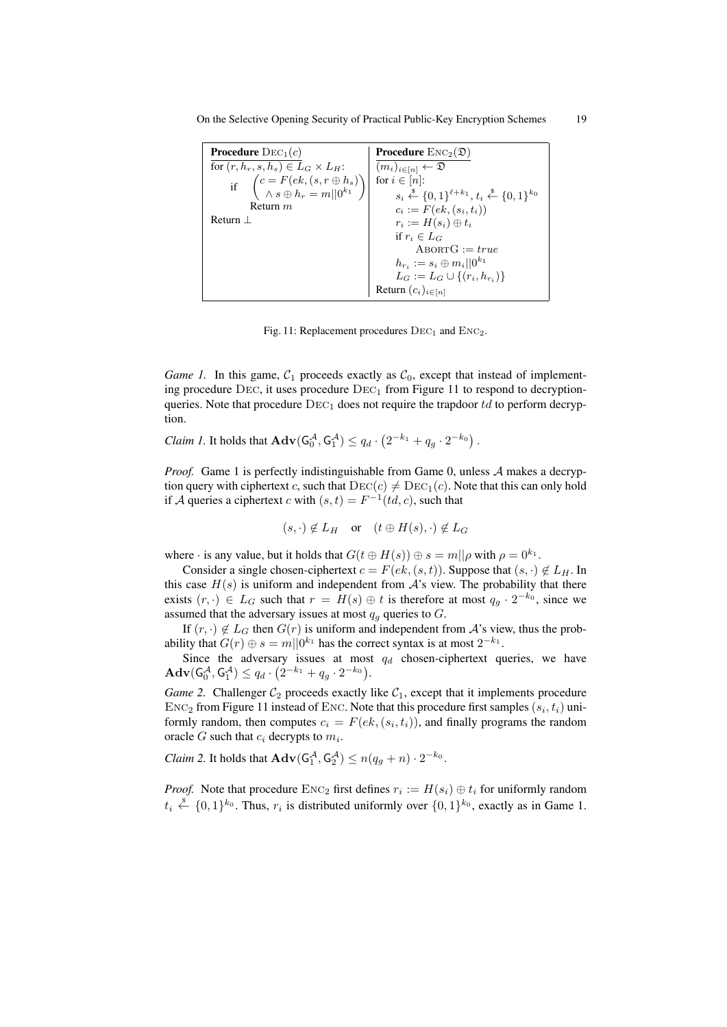On the Selective Opening Security of Practical Public-Key Encryption Schemes 19

| <b>Procedure</b> $DEC_1(c)$                                                                         | <b>Procedure</b> $\text{Enc}_2(\mathfrak{D})$                                                   |
|-----------------------------------------------------------------------------------------------------|-------------------------------------------------------------------------------------------------|
| for $(r, h_r, s, h_s) \in L_G \times L_H$ :                                                         | $(m_i)_{i \in [n]} \leftarrow \mathfrak{D}$                                                     |
| if $\begin{pmatrix} c = F(ek, (s, r \oplus h_s)) \\ \wedge s \oplus h_r = m  0^{k_1} \end{pmatrix}$ | for $i \in [n]$ :                                                                               |
|                                                                                                     | $s_i \stackrel{\$}{\leftarrow} \{0,1\}^{\ell+k_1}, t_i \stackrel{\$}{\leftarrow} \{0,1\}^{k_0}$ |
| Return $m$                                                                                          | $c_i := F(ek, (s_i, t_i))$                                                                      |
| $Return$ $\perp$                                                                                    | $r_i := H(s_i) \oplus t_i$                                                                      |
|                                                                                                     | if $r_i \in L_G$                                                                                |
|                                                                                                     | $ABORTG := true$                                                                                |
|                                                                                                     | $h_{r_i} := s_i \oplus m_i    0^{k_1}$                                                          |
|                                                                                                     | $L_G := L_G \cup \{(r_i, h_{r_i})\}$                                                            |
|                                                                                                     | Return $(c_i)_{i \in [n]}$                                                                      |

Fig. 11: Replacement procedures  $DEC<sub>1</sub>$  and  $Enc<sub>2</sub>$ .

*Game 1.* In this game,  $C_1$  proceeds exactly as  $C_0$ , except that instead of implementing procedure  $Dec$ , it uses procedure  $Dec<sub>1</sub>$  from Figure 11 to respond to decryptionqueries. Note that procedure  $\text{DEC}_1$  does not require the trapdoor td to perform decryption.

*Claim 1*. It holds that  $\mathbf{Adv}(G_0^{\mathcal{A}}, G_1^{\mathcal{A}}) \le q_d \cdot (2^{-k_1} + q_g \cdot 2^{-k_0})$ .

*Proof.* Game 1 is perfectly indistinguishable from Game 0, unless A makes a decryption query with ciphertext c, such that  $\text{DEC}(c) \neq \text{DEC}_1(c)$ . Note that this can only hold if A queries a ciphertext c with  $(s,t) = F^{-1}(td, c)$ , such that

$$
(s, \cdot) \notin L_H
$$
 or  $(t \oplus H(s), \cdot) \notin L_G$ 

where  $\cdot$  is any value, but it holds that  $G(t \oplus H(s)) \oplus s = m||\rho$  with  $\rho = 0^{k_1}$ .

Consider a single chosen-ciphertext  $c = F(ek, (s, t))$ . Suppose that  $(s, \cdot) \notin L_H$ . In this case  $H(s)$  is uniform and independent from  $A$ 's view. The probability that there exists  $(r, \cdot) \in L_G$  such that  $r = H(s) \oplus t$  is therefore at most  $q_g \cdot 2^{-k_0}$ , since we assumed that the adversary issues at most  $q<sub>q</sub>$  queries to  $G$ .

If  $(r, \cdot) \notin L_G$  then  $G(r)$  is uniform and independent from A's view, thus the probability that  $G(r) \oplus s = m||0^{k_1}$  has the correct syntax is at most  $2^{-k_1}$ .

Since the adversary issues at most  $q_d$  chosen-ciphertext queries, we have  $\mathbf{Adv}(\mathsf{G}_{0}^{\mathcal{A}}, \mathsf{G}_{1}^{\mathcal{A}}) \leq q_{d} \cdot (2^{-k_{1}} + q_{g} \cdot 2^{-k_{0}}).$ 

*Game 2.* Challenger  $C_2$  proceeds exactly like  $C_1$ , except that it implements procedure  $\text{Enc}_2$  from Figure 11 instead of ENC. Note that this procedure first samples  $(s_i, t_i)$  uniformly random, then computes  $c_i = F(ek, (s_i, t_i))$ , and finally programs the random oracle G such that  $c_i$  decrypts to  $m_i$ .

*Claim 2.* It holds that  $\mathbf{Adv}(G_1^{\mathcal{A}}, G_2^{\mathcal{A}}) \le n(q_g + n) \cdot 2^{-k_0}$ .

*Proof.* Note that procedure  $\text{Enc}_2$  first defines  $r_i := H(s_i) \oplus t_i$  for uniformly random  $t_i \stackrel{\$}{\leftarrow} \{0,1\}^{k_0}$ . Thus,  $r_i$  is distributed uniformly over  $\{0,1\}^{k_0}$ , exactly as in Game 1.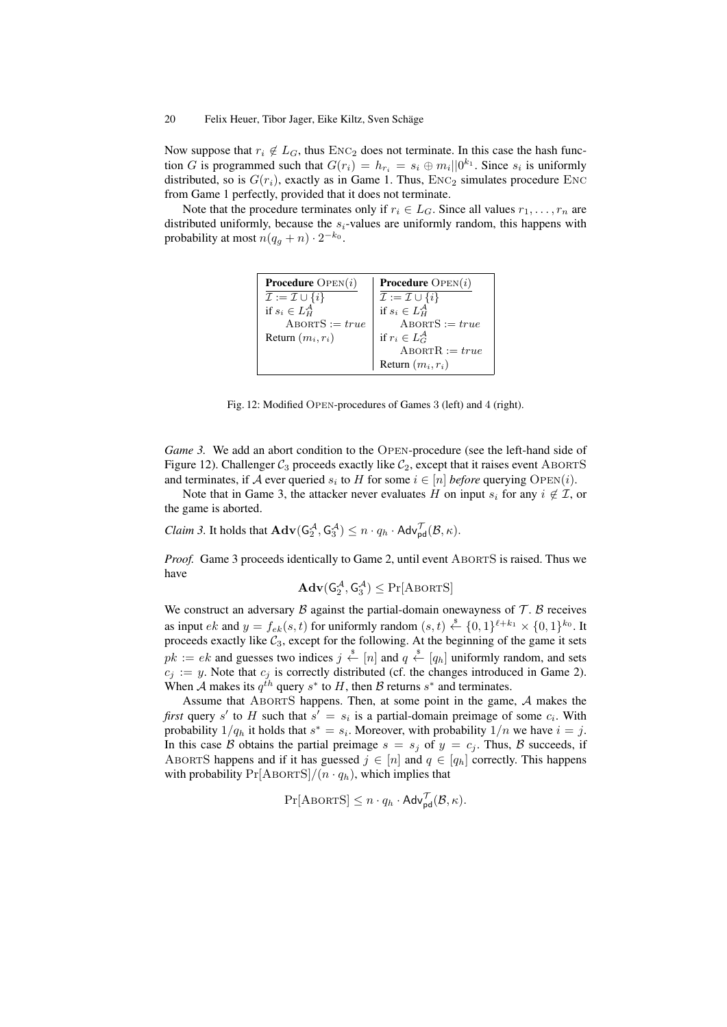Now suppose that  $r_i \notin L_G$ , thus ENC<sub>2</sub> does not terminate. In this case the hash function G is programmed such that  $G(r_i) = h_{r_i} = s_i \oplus m_i ||0^{k_1}$ . Since  $s_i$  is uniformly distributed, so is  $G(r_i)$ , exactly as in Game 1. Thus,  $ENC_2$  simulates procedure ENC from Game 1 perfectly, provided that it does not terminate.

Note that the procedure terminates only if  $r_i \in L_G$ . Since all values  $r_1, \ldots, r_n$  are distributed uniformly, because the  $s_i$ -values are uniformly random, this happens with probability at most  $n(q_g + n) \cdot 2^{-k_0}$ .

| <b>Procedure</b> $OPEN(i)$              | <b>Procedure</b> $OPEN(i)$                                                           |
|-----------------------------------------|--------------------------------------------------------------------------------------|
| $\mathcal{I} := \mathcal{I} \cup \{i\}$ | $\overline{\mathcal{I}} := \mathcal{I} \cup \{i\}$<br>if $s_i \in L_H^{\mathcal{A}}$ |
| if $s_i \in L_H^{\mathcal{A}}$          |                                                                                      |
| $ABORTS := true$                        | $ABORTS := true$                                                                     |
| Return $(m_i, r_i)$                     | if $r_i \in L_G^{\mathcal{A}}$                                                       |
|                                         | $ABORTR := true$                                                                     |
|                                         | Return $(m_i, r_i)$                                                                  |

Fig. 12: Modified Open-procedures of Games 3 (left) and 4 (right).

*Game 3.* We add an abort condition to the OPEN-procedure (see the left-hand side of Figure 12). Challenger  $C_3$  proceeds exactly like  $C_2$ , except that it raises event ABORTS and terminates, if A ever queried  $s_i$  to H for some  $i \in [n]$  *before* querying  $\text{OPEN}(i)$ .

Note that in Game 3, the attacker never evaluates H on input  $s_i$  for any  $i \notin \mathcal{I}$ , or the game is aborted.

*Claim 3.* It holds that  $\mathbf{Adv}(G_2^{\mathcal{A}}, G_3^{\mathcal{A}}) \leq n \cdot q_h \cdot \mathbf{Adv}_{\mathsf{pd}}^{\mathcal{T}}(\mathcal{B}, \kappa)$ .

*Proof.* Game 3 proceeds identically to Game 2, until event ABORTS is raised. Thus we have

$$
\mathbf{Adv}(G_2^{\mathcal{A}},G_3^{\mathcal{A}})\leq \Pr[\mathrm{ABORTS}]
$$

We construct an adversary  $\beta$  against the partial-domain onewayness of  $\mathcal{T}$ .  $\beta$  receives as input  $ek$  and  $y = f_{ek}(s, t)$  for uniformly random  $(s, t) \stackrel{\$}{\leftarrow} \{0, 1\}^{\ell+k_1} \times \{0, 1\}^{k_0}$ . It proceeds exactly like  $C_3$ , except for the following. At the beginning of the game it sets  $pk := ek$  and guesses two indices  $j \stackrel{\$}{\leftarrow} [n]$  and  $q \stackrel{\$}{\leftarrow} [q_h]$  uniformly random, and sets  $c_j := y$ . Note that  $c_j$  is correctly distributed (cf. the changes introduced in Game 2). When A makes its  $q^{th}$  query  $s^*$  to H, then B returns  $s^*$  and terminates.

Assume that AbortS happens. Then, at some point in the game, A makes the *first* query s' to H such that  $s' = s_i$  is a partial-domain preimage of some  $c_i$ . With probability  $1/q_h$  it holds that  $s^* = s_i$ . Moreover, with probability  $1/n$  we have  $i = j$ . In this case B obtains the partial preimage  $s = s_j$  of  $y = c_j$ . Thus, B succeeds, if ABORTS happens and if it has guessed  $j \in [n]$  and  $q \in [q_h]$  correctly. This happens with probability  $Pr[ABORTS]/(n \cdot q_h)$ , which implies that

$$
\Pr[\text{ABORTS}] \le n \cdot q_h \cdot \mathsf{Adv}_{\mathsf{pd}}^{\mathcal{T}}(\mathcal{B}, \kappa).
$$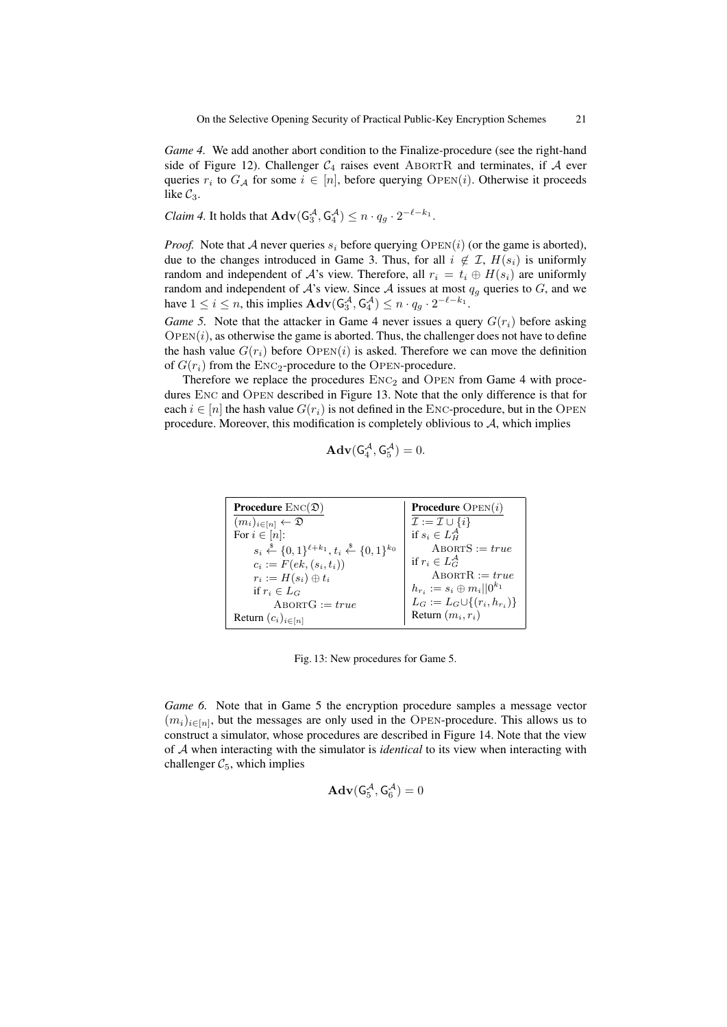*Game 4.* We add another abort condition to the Finalize-procedure (see the right-hand side of Figure 12). Challenger  $C_4$  raises event ABORTR and terminates, if A ever queries  $r_i$  to  $G_A$  for some  $i \in [n]$ , before querying  $\text{OPEN}(i)$ . Otherwise it proceeds like  $C_3$ .

*Claim 4.* It holds that  $\mathbf{Adv}(G_3^{\mathcal{A}}, G_4^{\mathcal{A}}) \leq n \cdot q_g \cdot 2^{-\ell - k_1}$ .

*Proof.* Note that A never queries  $s_i$  before querying  $\text{OPEN}(i)$  (or the game is aborted), due to the changes introduced in Game 3. Thus, for all  $i \notin \mathcal{I}$ ,  $H(s_i)$  is uniformly random and independent of A's view. Therefore, all  $r_i = t_i \oplus H(s_i)$  are uniformly random and independent of  $A$ 's view. Since  $A$  issues at most  $q_q$  queries to  $G$ , and we have  $1 \leq i \leq n$ , this implies  $\mathbf{Adv}(\mathsf{G}_3^{\mathcal{A}}, \mathsf{G}_4^{\mathcal{A}}) \leq n \cdot q_g \cdot 2^{-\ell - k_1}$ .

*Game 5.* Note that the attacker in Game 4 never issues a query  $G(r_i)$  before asking  $OPEN(i)$ , as otherwise the game is aborted. Thus, the challenger does not have to define the hash value  $G(r_i)$  before  $\text{OPEN}(i)$  is asked. Therefore we can move the definition of  $G(r_i)$  from the  $ENC_2$ -procedure to the OPEN-procedure.

Therefore we replace the procedures  $ENC<sub>2</sub>$  and OPEN from Game 4 with procedures Enc and Open described in Figure 13. Note that the only difference is that for each  $i \in [n]$  the hash value  $G(r_i)$  is not defined in the ENC-procedure, but in the OPEN procedure. Moreover, this modification is completely oblivious to  $A$ , which implies

$$
\mathbf{Adv}(\mathsf{G}_4^{\mathcal{A}}, \mathsf{G}_5^{\mathcal{A}}) = 0.
$$

| <b>Procedure</b> $\text{Enc}(\mathfrak{D})$                                                     | <b>Procedure</b> $OPEN(i)$              |
|-------------------------------------------------------------------------------------------------|-----------------------------------------|
| $(m_i)_{i\in[n]} \leftarrow \mathfrak{D}$                                                       | $\mathcal{I} := \mathcal{I} \cup \{i\}$ |
| For $i \in [n]$ :                                                                               | if $s_i \in L_H^{\mathcal{A}}$          |
| $s_i \stackrel{\$}{\leftarrow} \{0,1\}^{\ell+k_1}, t_i \stackrel{\$}{\leftarrow} \{0,1\}^{k_0}$ | $A$ BORT $S := true$                    |
| $c_i := F(ek, (s_i, t_i))$                                                                      | if $r_i \in L_G^{\mathcal{A}}$          |
| $r_i := H(s_i) \oplus t_i$                                                                      | $ABORTR := true$                        |
| if $r_i \in L_G$                                                                                | $h_{r_i} := s_i \oplus m_i    0^{k_1}$  |
| $ABORTG := true$                                                                                | $L_G := L_G \cup \{(r_i, h_{r_i})\}$    |
| Return $(c_i)_{i \in [n]}$                                                                      | Return $(m_i, r_i)$                     |

Fig. 13: New procedures for Game 5.

*Game 6.* Note that in Game 5 the encryption procedure samples a message vector  $(m_i)_{i\in[n]}$ , but the messages are only used in the OPEN-procedure. This allows us to construct a simulator, whose procedures are described in Figure 14. Note that the view of A when interacting with the simulator is *identical* to its view when interacting with challenger  $C_5$ , which implies

$$
\mathbf{Adv}(\mathsf{G}_{5}^{\mathcal{A}}, \mathsf{G}_{6}^{\mathcal{A}}) = 0
$$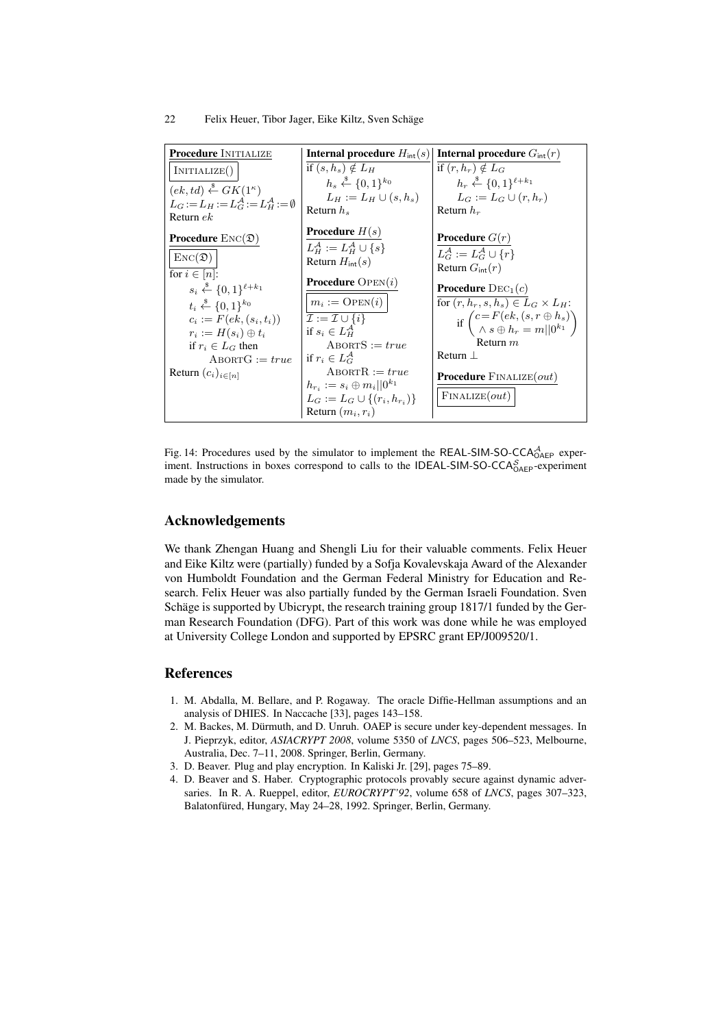| <b>Procedure INITIALIZE</b>                                 | <b>Internal procedure</b> $H_{\text{int}}(s)$                               | <b>Internal procedure</b> $G_{\text{int}}(r)$                                                         |
|-------------------------------------------------------------|-----------------------------------------------------------------------------|-------------------------------------------------------------------------------------------------------|
| INITIALIZE()                                                | if $(s, h_s) \notin L_H$                                                    | if $(r, h_r) \notin L_G$                                                                              |
| $(ek, td) \stackrel{\$}{\leftarrow} GK(1^{\kappa})$         | $h_s \stackrel{\$}{\leftarrow} \{0,1\}^{k_0}$                               | $h_r \xleftarrow{\$} \{0,1\}^{\ell+k_1}$                                                              |
| $L_G:=L_H:=L_G^{\mathcal{A}}:=L_H^{\mathcal{A}}:=\emptyset$ | $L_H := L_H \cup (s, h_s)$                                                  | $L_G := L_G \cup (r, h_r)$                                                                            |
| Return $ek$                                                 | Return $h_s$                                                                | Return $h_r$                                                                                          |
| <b>Procedure</b> $\text{Enc}(\mathfrak{D})$                 | <b>Procedure</b> $H(s)$                                                     | <b>Procedure</b> $G(r)$                                                                               |
|                                                             | $L^{\mathcal{A}}_{\mathcal{U}} := L^{\mathcal{A}}_{\mathcal{U}} \cup \{s\}$ |                                                                                                       |
| $\text{Enc}(\mathfrak{D})$                                  | Return $H_{\text{int}}(s)$                                                  | $L_C^{\mathcal{A}} := L_C^{\mathcal{A}} \cup \{r\}$                                                   |
| for $i \in [n]$ :                                           |                                                                             | Return $G_{\text{int}}(r)$                                                                            |
| $s_i \stackrel{\$}{\leftarrow} \{0,1\}^{\ell+k_1}$          | <b>Procedure</b> $OPEN(i)$                                                  | <b>Procedure</b> $DEC_1(c)$                                                                           |
| $t_i \xleftarrow{\$} \{0,1\}^{k_0}$                         | $m_i := \text{OPEN}(i)$                                                     | for $(r, h_r, s, h_s) \in L_G \times L_H$ :                                                           |
| $c_i := F(ek, (s_i, t_i))$                                  | $\mathcal{I} := \mathcal{I} \cup \{i\}$                                     | if $\begin{pmatrix} c = F(ek, (s, r \oplus h_s)) \\ \wedge s \oplus h_r = m    0^{k_1} \end{pmatrix}$ |
| $r_i := H(s_i) \oplus t_i$                                  | if $s_i \in L^{\mathcal{A}}_H$                                              |                                                                                                       |
| if $r_i \in L_G$ then                                       | $ABORTS := true$                                                            | Return $m$                                                                                            |
| $ABORTG := true$                                            | if $r_i \in L_C^{\mathcal{A}}$                                              | Return $\perp$                                                                                        |
| Return $(c_i)_{i \in [n]}$                                  | $ABORTR := true$                                                            | <b>Procedure</b> $\text{FINALIZE}(out)$                                                               |
|                                                             | $h_{r_i} := s_i \oplus m_i    0^{\kappa_1}$                                 |                                                                                                       |
|                                                             | $L_G := L_G \cup \{(r_i, h_{r_i})\}$                                        | $F$ INALIZE $(out)$                                                                                   |
|                                                             | Return $(m_i, r_i)$                                                         |                                                                                                       |

Fig. 14: Procedures used by the simulator to implement the REAL-SIM-SO-CCA $_{OAEP}^{A}$  experiment. Instructions in boxes correspond to calls to the IDEAL-SIM-SO-CCA $_{O AEP}^S$ -experiment made by the simulator.

# Acknowledgements

We thank Zhengan Huang and Shengli Liu for their valuable comments. Felix Heuer and Eike Kiltz were (partially) funded by a Sofja Kovalevskaja Award of the Alexander von Humboldt Foundation and the German Federal Ministry for Education and Research. Felix Heuer was also partially funded by the German Israeli Foundation. Sven Schäge is supported by Ubicrypt, the research training group 1817/1 funded by the German Research Foundation (DFG). Part of this work was done while he was employed at University College London and supported by EPSRC grant EP/J009520/1.

# **References**

- 1. M. Abdalla, M. Bellare, and P. Rogaway. The oracle Diffie-Hellman assumptions and an analysis of DHIES. In Naccache [33], pages 143–158.
- 2. M. Backes, M. Durmuth, and D. Unruh. OAEP is secure under key-dependent messages. In ¨ J. Pieprzyk, editor, *ASIACRYPT 2008*, volume 5350 of *LNCS*, pages 506–523, Melbourne, Australia, Dec. 7–11, 2008. Springer, Berlin, Germany.
- 3. D. Beaver. Plug and play encryption. In Kaliski Jr. [29], pages 75–89.
- 4. D. Beaver and S. Haber. Cryptographic protocols provably secure against dynamic adversaries. In R. A. Rueppel, editor, *EUROCRYPT'92*, volume 658 of *LNCS*, pages 307–323, Balatonfüred, Hungary, May 24–28, 1992. Springer, Berlin, Germany.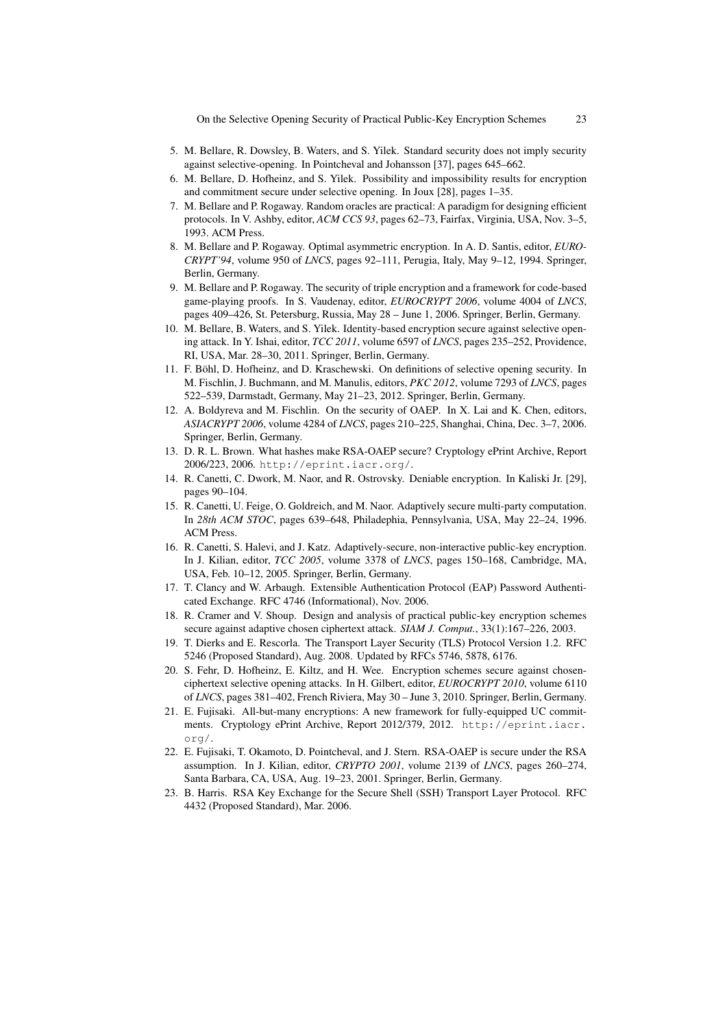On the Selective Opening Security of Practical Public-Key Encryption Schemes 23

- 5. M. Bellare, R. Dowsley, B. Waters, and S. Yilek. Standard security does not imply security against selective-opening. In Pointcheval and Johansson [37], pages 645–662.
- 6. M. Bellare, D. Hofheinz, and S. Yilek. Possibility and impossibility results for encryption and commitment secure under selective opening. In Joux [28], pages 1–35.
- 7. M. Bellare and P. Rogaway. Random oracles are practical: A paradigm for designing efficient protocols. In V. Ashby, editor, *ACM CCS 93*, pages 62–73, Fairfax, Virginia, USA, Nov. 3–5, 1993. ACM Press.
- 8. M. Bellare and P. Rogaway. Optimal asymmetric encryption. In A. D. Santis, editor, *EURO-CRYPT'94*, volume 950 of *LNCS*, pages 92–111, Perugia, Italy, May 9–12, 1994. Springer, Berlin, Germany.
- 9. M. Bellare and P. Rogaway. The security of triple encryption and a framework for code-based game-playing proofs. In S. Vaudenay, editor, *EUROCRYPT 2006*, volume 4004 of *LNCS*, pages 409–426, St. Petersburg, Russia, May 28 – June 1, 2006. Springer, Berlin, Germany.
- 10. M. Bellare, B. Waters, and S. Yilek. Identity-based encryption secure against selective opening attack. In Y. Ishai, editor, *TCC 2011*, volume 6597 of *LNCS*, pages 235–252, Providence, RI, USA, Mar. 28–30, 2011. Springer, Berlin, Germany.
- 11. F. Bohl, D. Hofheinz, and D. Kraschewski. On definitions of selective opening security. In ¨ M. Fischlin, J. Buchmann, and M. Manulis, editors, *PKC 2012*, volume 7293 of *LNCS*, pages 522–539, Darmstadt, Germany, May 21–23, 2012. Springer, Berlin, Germany.
- 12. A. Boldyreva and M. Fischlin. On the security of OAEP. In X. Lai and K. Chen, editors, *ASIACRYPT 2006*, volume 4284 of *LNCS*, pages 210–225, Shanghai, China, Dec. 3–7, 2006. Springer, Berlin, Germany.
- 13. D. R. L. Brown. What hashes make RSA-OAEP secure? Cryptology ePrint Archive, Report 2006/223, 2006. http://eprint.iacr.org/.
- 14. R. Canetti, C. Dwork, M. Naor, and R. Ostrovsky. Deniable encryption. In Kaliski Jr. [29], pages 90–104.
- 15. R. Canetti, U. Feige, O. Goldreich, and M. Naor. Adaptively secure multi-party computation. In *28th ACM STOC*, pages 639–648, Philadephia, Pennsylvania, USA, May 22–24, 1996. ACM Press.
- 16. R. Canetti, S. Halevi, and J. Katz. Adaptively-secure, non-interactive public-key encryption. In J. Kilian, editor, *TCC 2005*, volume 3378 of *LNCS*, pages 150–168, Cambridge, MA, USA, Feb. 10–12, 2005. Springer, Berlin, Germany.
- 17. T. Clancy and W. Arbaugh. Extensible Authentication Protocol (EAP) Password Authenticated Exchange. RFC 4746 (Informational), Nov. 2006.
- 18. R. Cramer and V. Shoup. Design and analysis of practical public-key encryption schemes secure against adaptive chosen ciphertext attack. *SIAM J. Comput.*, 33(1):167–226, 2003.
- 19. T. Dierks and E. Rescorla. The Transport Layer Security (TLS) Protocol Version 1.2. RFC 5246 (Proposed Standard), Aug. 2008. Updated by RFCs 5746, 5878, 6176.
- 20. S. Fehr, D. Hofheinz, E. Kiltz, and H. Wee. Encryption schemes secure against chosenciphertext selective opening attacks. In H. Gilbert, editor, *EUROCRYPT 2010*, volume 6110 of *LNCS*, pages 381–402, French Riviera, May 30 – June 3, 2010. Springer, Berlin, Germany.
- 21. E. Fujisaki. All-but-many encryptions: A new framework for fully-equipped UC commitments. Cryptology ePrint Archive, Report 2012/379, 2012. http://eprint.iacr. org/.
- 22. E. Fujisaki, T. Okamoto, D. Pointcheval, and J. Stern. RSA-OAEP is secure under the RSA assumption. In J. Kilian, editor, *CRYPTO 2001*, volume 2139 of *LNCS*, pages 260–274, Santa Barbara, CA, USA, Aug. 19–23, 2001. Springer, Berlin, Germany.
- 23. B. Harris. RSA Key Exchange for the Secure Shell (SSH) Transport Layer Protocol. RFC 4432 (Proposed Standard), Mar. 2006.